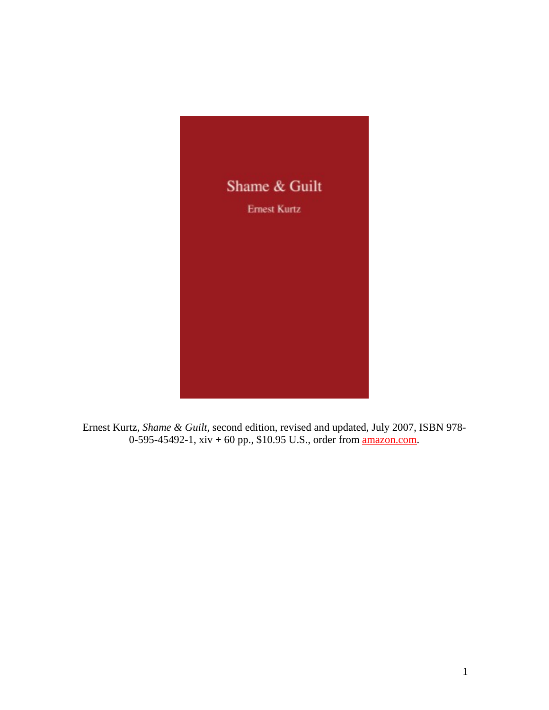

Ernest Kurtz, *Shame & Guilt*, second edition, revised and updated, July 2007, ISBN 978- 0-595-45492-1, xiv + 60 pp., \$10.95 U.S., order from **amazon.com**.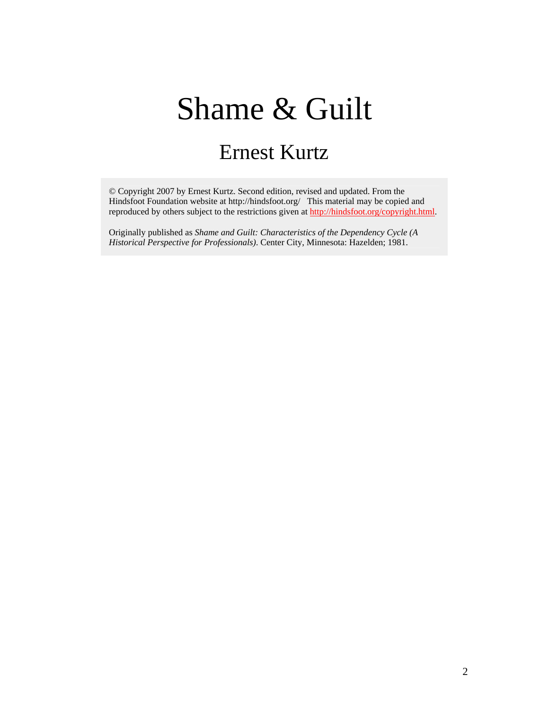# Shame & Guilt

# Ernest Kurtz

 © Copyright 2007 by Ernest Kurtz. Second edition, revised and updated. From the Hindsfoot Foundation website at http://hindsfoot.org/ This material may be copied and reproduced by others subject to the restrictions given at <http://hindsfoot.org/copyright.html>.

Originally published as *Shame and Guilt: Characteristics of the Dependency Cycle (A Historical Perspective for Professionals)*. Center City, Minnesota: Hazelden; 1981.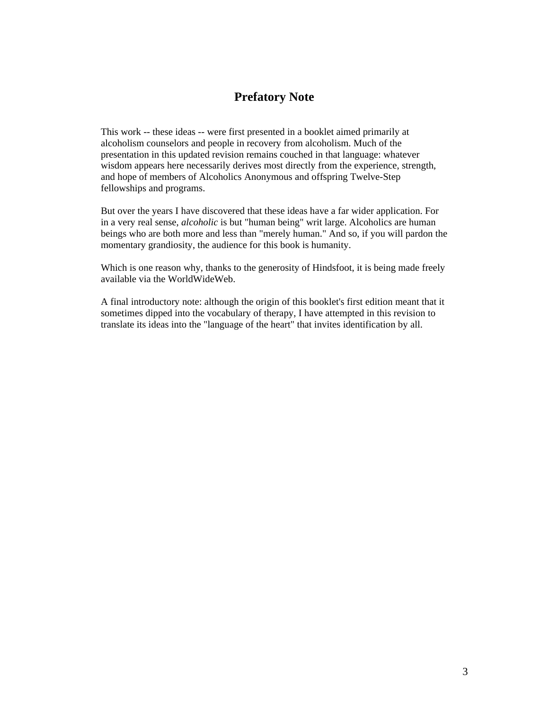### **Prefatory Note**

 This work -- these ideas -- were first presented in a booklet aimed primarily at alcoholism counselors and people in recovery from alcoholism. Much of the presentation in this updated revision remains couched in that language: whatever wisdom appears here necessarily derives most directly from the experience, strength, and hope of members of Alcoholics Anonymous and offspring Twelve-Step fellowships and programs.

But over the years I have discovered that these ideas have a far wider application. For in a very real sense, *alcoholic* is but "human being" writ large. Alcoholics are human beings who are both more and less than "merely human." And so, if you will pardon the momentary grandiosity, the audience for this book is humanity.

Which is one reason why, thanks to the generosity of Hindsfoot, it is being made freely available via the WorldWideWeb.

A final introductory note: although the origin of this booklet's first edition meant that it sometimes dipped into the vocabulary of therapy, I have attempted in this revision to translate its ideas into the "language of the heart" that invites identification by all.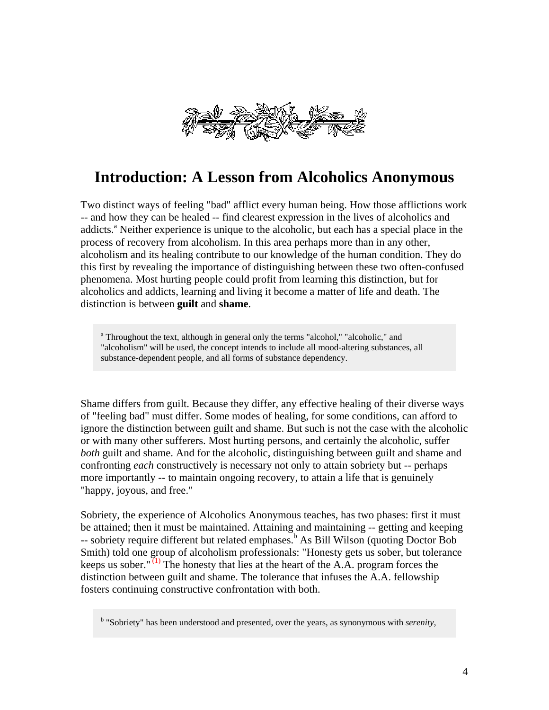

# **Introduction: A Lesson from Alcoholics Anonymous**

Two distinct ways of feeling "bad" afflict every human being. How those afflictions work -- and how they can be healed -- find clearest expression in the lives of alcoholics and addicts.<sup>a</sup> Neither experience is unique to the alcoholic, but each has a special place in the process of recovery from alcoholism. In this area perhaps more than in any other, alcoholism and its healing contribute to our knowledge of the human condition. They do this first by revealing the importance of distinguishing between these two often-confused phenomena. Most hurting people could profit from learning this distinction, but for alcoholics and addicts, learning and living it become a matter of life and death. The distinction is between **guilt** and **shame**.

<sup>a</sup> Throughout the text, although in general only the terms "alcohol," "alcoholic," and "alcoholism" will be used, the concept intends to include all mood-altering substances, all substance-dependent people, and all forms of substance dependency.

Shame differs from guilt. Because they differ, any effective healing of their diverse ways of "feeling bad" must differ. Some modes of healing, for some conditions, can afford to ignore the distinction between guilt and shame. But such is not the case with the alcoholic or with many other sufferers. Most hurting persons, and certainly the alcoholic, suffer *both* guilt and shame. And for the alcoholic, distinguishing between guilt and shame and confronting *each* constructively is necessary not only to attain sobriety but -- perhaps more importantly -- to maintain ongoing recovery, to attain a life that is genuinely "happy, joyous, and free."

Sobriety, the experience of Alcoholics Anonymous teaches, has two phases: first it must be attained; then it must be maintained. Attaining and maintaining -- getting and keeping -- sobriety require different but related emphases.<sup>b</sup> As Bill Wilson (quoting Doctor Bob) Smith) told one group of alcoholism professionals: "Honesty gets us sober, but tolerance keeps us sober." $\frac{1}{1}$  The honesty that lies at the heart of the A.A. program forces the distinction between guilt and shame. The tolerance that infuses the A.A. fellowship fosters continuing constructive confrontation with both.

<sup>&</sup>lt;sup>b</sup> "Sobriety" has been understood and presented, over the years, as synonymous with *serenity*,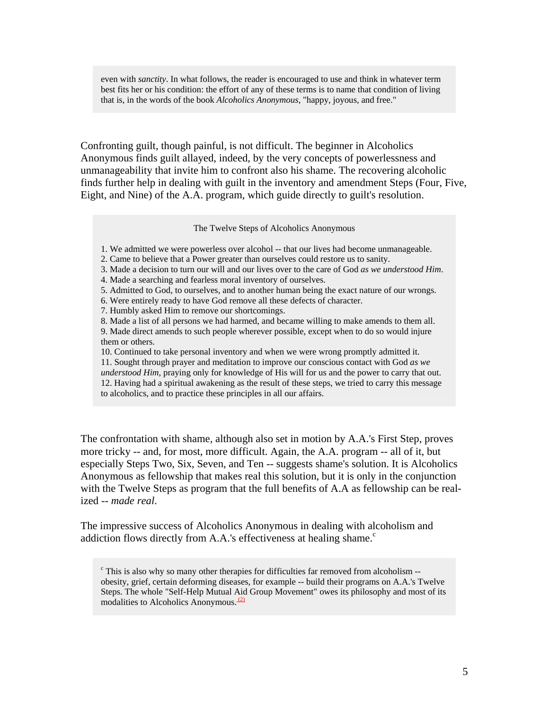even with *sanctity*. In what follows, the reader is encouraged to use and think in whatever term best fits her or his condition: the effort of any of these terms is to name that condition of living that is, in the words of the book *Alcoholics Anonymous*, "happy, joyous, and free."

Confronting guilt, though painful, is not difficult. The beginner in Alcoholics Anonymous finds guilt allayed, indeed, by the very concepts of powerlessness and unmanageability that invite him to confront also his shame. The recovering alcoholic finds further help in dealing with guilt in the inventory and amendment Steps (Four, Five, Eight, and Nine) of the A.A. program, which guide directly to guilt's resolution.

The Twelve Steps of Alcoholics Anonymous

1. We admitted we were powerless over alcohol -- that our lives had become unmanageable.

2. Came to believe that a Power greater than ourselves could restore us to sanity.

3. Made a decision to turn our will and our lives over to the care of God *as we understood Him*.

4. Made a searching and fearless moral inventory of ourselves.

5. Admitted to God, to ourselves, and to another human being the exact nature of our wrongs.

6. Were entirely ready to have God remove all these defects of character.

7. Humbly asked Him to remove our shortcomings.

8. Made a list of all persons we had harmed, and became willing to make amends to them all.

9. Made direct amends to such people wherever possible, except when to do so would injure them or others.

10. Continued to take personal inventory and when we were wrong promptly admitted it. 11. Sought through prayer and meditation to improve our conscious contact with God *as we understood Him*, praying only for knowledge of His will for us and the power to carry that out. 12. Having had a spiritual awakening as the result of these steps, we tried to carry this message to alcoholics, and to practice these principles in all our affairs.

The confrontation with shame, although also set in motion by A.A.'s First Step, proves more tricky -- and, for most, more difficult. Again, the A.A. program -- all of it, but especially Steps Two, Six, Seven, and Ten -- suggests shame's solution. It is Alcoholics Anonymous as fellowship that makes real this solution, but it is only in the conjunction with the Twelve Steps as program that the full benefits of A.A as fellowship can be realized -- *made real*.

The impressive success of Alcoholics Anonymous in dealing with alcoholism and addiction flows directly from A.A.'s effectiveness at healing shame. $\degree$ 

<sup>&</sup>lt;sup>c</sup> This is also why so many other therapies for difficulties far removed from alcoholism -obesity, grief, certain deforming diseases, for example -- build their programs on A.A.'s Twelve Steps. The whole "Self-Help Mutual Ai[d](http://hindsfoot.org/eksg.html#N_2_#N_2_) Group Movement" owes its philosophy and most of its modalities to Alcoholics Anonymous. $\frac{2}{2}$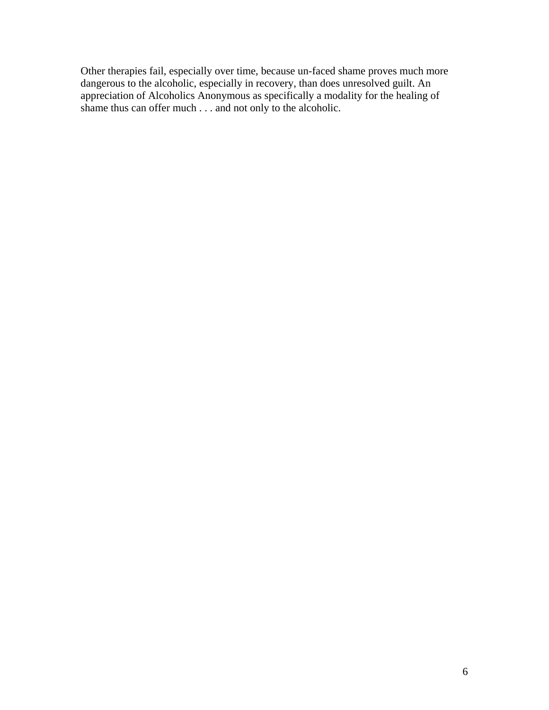Other therapies fail, especially over time, because un-faced shame proves much more dangerous to the alcoholic, especially in recovery, than does unresolved guilt. An appreciation of Alcoholics Anonymous as specifically a modality for the healing of shame thus can offer much . . . and not only to the alcoholic.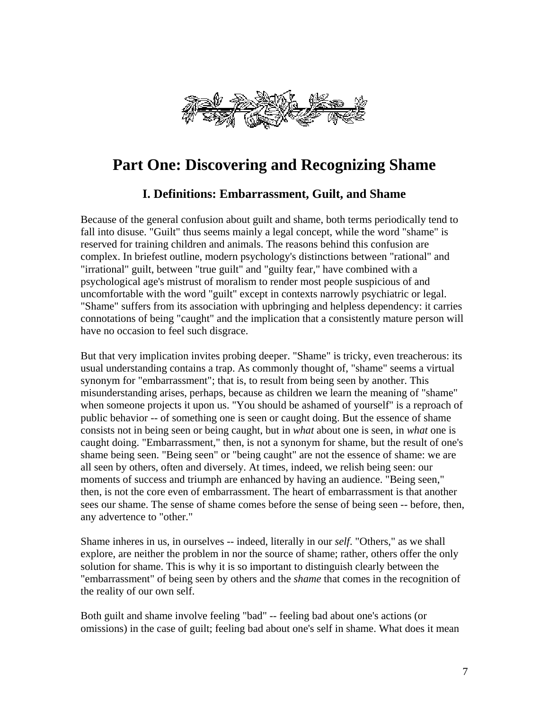

# **Part One: Discovering and Recognizing Shame**

## **I. Definitions: Embarrassment, Guilt, and Shame**

Because of the general confusion about guilt and shame, both terms periodically tend to fall into disuse. "Guilt" thus seems mainly a legal concept, while the word "shame" is reserved for training children and animals. The reasons behind this confusion are complex. In briefest outline, modern psychology's distinctions between "rational" and "irrational" guilt, between "true guilt" and "guilty fear," have combined with a psychological age's mistrust of moralism to render most people suspicious of and uncomfortable with the word "guilt" except in contexts narrowly psychiatric or legal. "Shame" suffers from its association with upbringing and helpless dependency: it carries connotations of being "caught" and the implication that a consistently mature person will have no occasion to feel such disgrace.

But that very implication invites probing deeper. "Shame" is tricky, even treacherous: its usual understanding contains a trap. As commonly thought of, "shame" seems a virtual synonym for "embarrassment"; that is, to result from being seen by another. This misunderstanding arises, perhaps, because as children we learn the meaning of "shame" when someone projects it upon us. "You should be ashamed of yourself" is a reproach of public behavior -- of something one is seen or caught doing. But the essence of shame consists not in being seen or being caught, but in *what* about one is seen, in *what* one is caught doing. "Embarrassment," then, is not a synonym for shame, but the result of one's shame being seen. "Being seen" or "being caught" are not the essence of shame: we are all seen by others, often and diversely. At times, indeed, we relish being seen: our moments of success and triumph are enhanced by having an audience. "Being seen," then, is not the core even of embarrassment. The heart of embarrassment is that another sees our shame. The sense of shame comes before the sense of being seen -- before, then, any advertence to "other."

Shame inheres in us, in ourselves -- indeed, literally in our *self*. "Others," as we shall explore, are neither the problem in nor the source of shame; rather, others offer the only solution for shame. This is why it is so important to distinguish clearly between the "embarrassment" of being seen by others and the *shame* that comes in the recognition of the reality of our own self.

Both guilt and shame involve feeling "bad" -- feeling bad about one's actions (or omissions) in the case of guilt; feeling bad about one's self in shame. What does it mean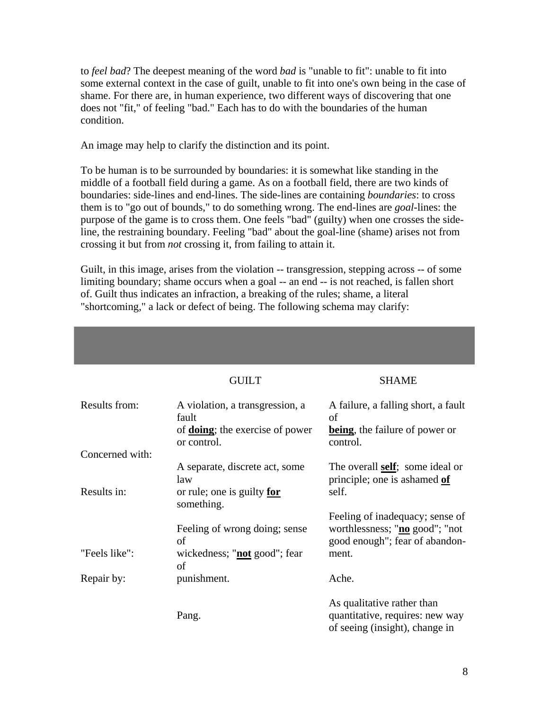to *feel bad*? The deepest meaning of the word *bad* is "unable to fit": unable to fit into some external context in the case of guilt, unable to fit into one's own being in the case of shame. For there are, in human experience, two different ways of discovering that one does not "fit," of feeling "bad." Each has to do with the boundaries of the human condition.

An image may help to clarify the distinction and its point.

To be human is to be surrounded by boundaries: it is somewhat like standing in the middle of a football field during a game. As on a football field, there are two kinds of boundaries: side-lines and end-lines. The side-lines are containing *boundaries*: to cross them is to "go out of bounds," to do something wrong. The end-lines are *goal*-lines: the purpose of the game is to cross them. One feels "bad" (guilty) when one crosses the sideline, the restraining boundary. Feeling "bad" about the goal-line (shame) arises not from crossing it but from *not* crossing it, from failing to attain it.

Guilt, in this image, arises from the violation -- transgression, stepping across -- of some limiting boundary; shame occurs when a goal -- an end -- is not reached, is fallen short of. Guilt thus indicates an infraction, a breaking of the rules; shame, a literal "shortcoming," a lack or defect of being. The following schema may clarify:

|                 | <b>GUILT</b>                                                                                       | <b>SHAME</b>                                                                                        |
|-----------------|----------------------------------------------------------------------------------------------------|-----------------------------------------------------------------------------------------------------|
| Results from:   | A violation, a transgression, a<br>fault<br>of <b>doing</b> ; the exercise of power<br>or control. | A failure, a falling short, a fault<br>of<br><b>being</b> , the failure of power or<br>control.     |
| Concerned with: |                                                                                                    |                                                                                                     |
| Results in:     | A separate, discrete act, some<br>law<br>or rule; one is guilty for<br>something.                  | The overall <b>self</b> ; some ideal or<br>principle; one is ashamed of<br>self.                    |
|                 | Feeling of wrong doing; sense<br>of                                                                | Feeling of inadequacy; sense of<br>worthlessness; "no good"; "not<br>good enough"; fear of abandon- |
| "Feels like":   | wickedness; " <b>not</b> good"; fear<br>of                                                         | ment.                                                                                               |
| Repair by:      | punishment.                                                                                        | Ache.                                                                                               |
|                 | Pang.                                                                                              | As qualitative rather than<br>quantitative, requires: new way<br>of seeing (insight), change in     |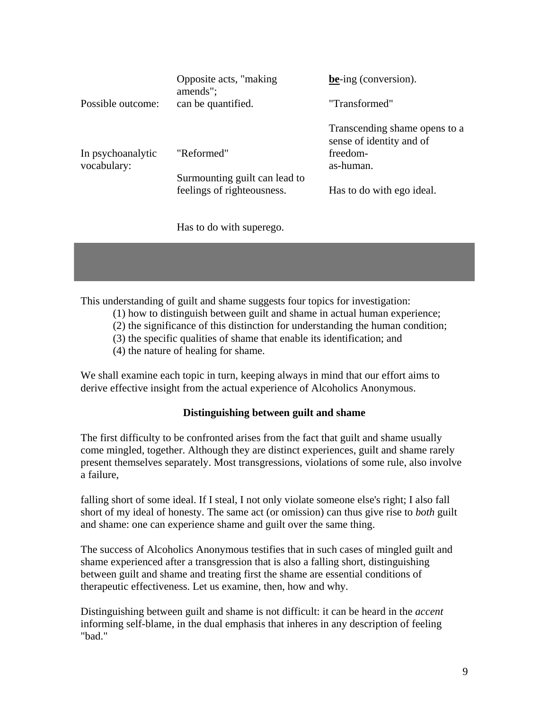| Possible outcome:                | Opposite acts, "making"<br>amends";<br>can be quantified.   | be-ing (conversion).<br>"Transformed"                                              |
|----------------------------------|-------------------------------------------------------------|------------------------------------------------------------------------------------|
| In psychoanalytic<br>vocabulary: | "Reformed"                                                  | Transcending shame opens to a<br>sense of identity and of<br>freedom-<br>as-human. |
|                                  | Surmounting guilt can lead to<br>feelings of righteousness. | Has to do with ego ideal.                                                          |

Has to do with superego.

This understanding of guilt and shame suggests four topics for investigation:

- (1) how to distinguish between guilt and shame in actual human experience;
- (2) the significance of this distinction for understanding the human condition;
- (3) the specific qualities of shame that enable its identification; and
- (4) the nature of healing for shame.

We shall examine each topic in turn, keeping always in mind that our effort aims to derive effective insight from the actual experience of Alcoholics Anonymous.

#### **Distinguishing between guilt and shame**

The first difficulty to be confronted arises from the fact that guilt and shame usually come mingled, together. Although they are distinct experiences, guilt and shame rarely present themselves separately. Most transgressions, violations of some rule, also involve a failure,

falling short of some ideal. If I steal, I not only violate someone else's right; I also fall short of my ideal of honesty. The same act (or omission) can thus give rise to *both* guilt and shame: one can experience shame and guilt over the same thing.

The success of Alcoholics Anonymous testifies that in such cases of mingled guilt and shame experienced after a transgression that is also a falling short, distinguishing between guilt and shame and treating first the shame are essential conditions of therapeutic effectiveness. Let us examine, then, how and why.

Distinguishing between guilt and shame is not difficult: it can be heard in the *accent* informing self-blame, in the dual emphasis that inheres in any description of feeling "bad."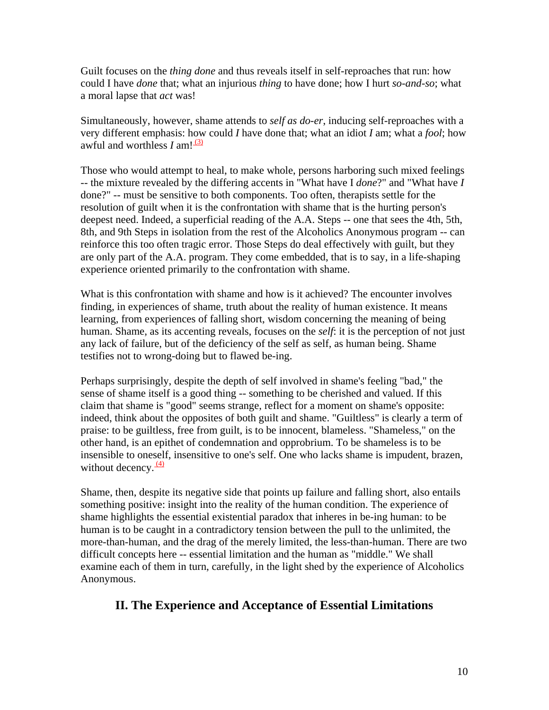Guilt focuses on the *thing done* and thus reveals itself in self-reproaches that run: how could I have *done* that; what an injurious *thing* to have done; how I hurt *so-and-so*; what a moral lapse that *act* was!

Simultaneously, however, shame attends to *self as do-er*, inducing self-reproaches with a very different emphasis: how could *I* have done that; what an idiot *I* am; what a *fool*; how awful and worthless  $I$  am<sup> $\frac{(3)}{2}$ </sup>

Those who would attempt to heal, to make whole, persons harboring such mixed feelings -- the mixture revealed by the differing accents in "What have I *done*?" and "What have *I* done?" -- must be sensitive to both components. Too often, therapists settle for the resolution of guilt when it is the confrontation with shame that is the hurting person's deepest need. Indeed, a superficial reading of the A.A. Steps -- one that sees the 4th, 5th, 8th, and 9th Steps in isolation from the rest of the Alcoholics Anonymous program -- can reinforce this too often tragic error. Those Steps do deal effectively with guilt, but they are only part of the A.A. program. They come embedded, that is to say, in a life-shaping experience oriented primarily to the confrontation with shame.

What is this confrontation with shame and how is it achieved? The encounter involves finding, in experiences of shame, truth about the reality of human existence. It means learning, from experiences of falling short, wisdom concerning the meaning of being human. Shame, as its accenting reveals, focuses on the *self*: it is the perception of not just any lack of failure, but of the deficiency of the self as self, as human being. Shame testifies not to wrong-doing but to flawed be-ing.

Perhaps surprisingly, despite the depth of self involved in shame's feeling "bad," the sense of shame itself is a good thing -- something to be cherished and valued. If this claim that shame is "good" seems strange, reflect for a moment on shame's opposite: indeed, think about the opposites of both guilt and shame. "Guiltless" is clearly a term of praise: to be guiltless, free from guilt, is to be innocent, blameless. "Shameless," on the other hand, is an epithet of condemnation and opprobrium. To be shameless is to be insensible to oneself, insensitive to one's self. One who lacks shame is impudent, brazen, without decency.  $(4)$ 

Shame, then, despite its negative side that points up failure and falling short, also entails something positive: insight into the reality of the human condition. The experience of shame highlights the essential existential paradox that inheres in be-ing human: to be human is to be caught in a contradictory tension between the pull to the unlimited, the more-than-human, and the drag of the merely limited, the less-than-human. There are two difficult concepts here -- essential limitation and the human as "middle." We shall examine each of them in turn, carefully, in the light shed by the experience of Alcoholics Anonymous.

## **II. The Experience and Acceptance of Essential Limitations**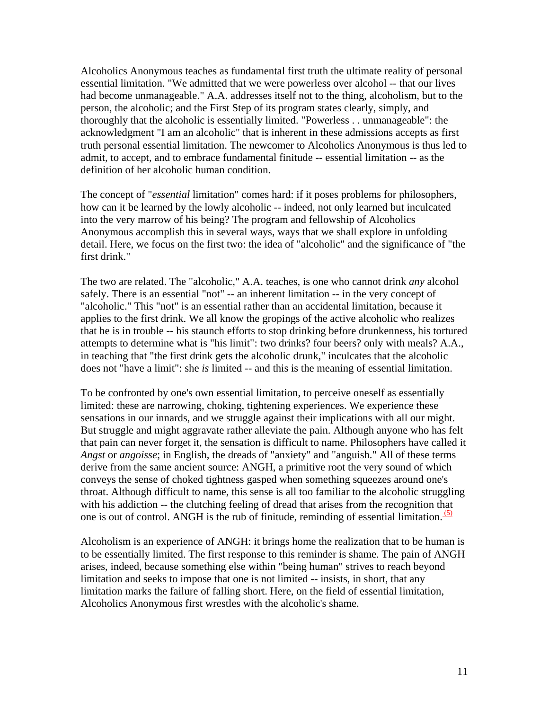Alcoholics Anonymous teaches as fundamental first truth the ultimate reality of personal essential limitation. "We admitted that we were powerless over alcohol -- that our lives had become unmanageable." A.A. addresses itself not to the thing, alcoholism, but to the person, the alcoholic; and the First Step of its program states clearly, simply, and thoroughly that the alcoholic is essentially limited. "Powerless . . unmanageable": the acknowledgment "I am an alcoholic" that is inherent in these admissions accepts as first truth personal essential limitation. The newcomer to Alcoholics Anonymous is thus led to admit, to accept, and to embrace fundamental finitude -- essential limitation -- as the definition of her alcoholic human condition.

The concept of "*essential* limitation" comes hard: if it poses problems for philosophers, how can it be learned by the lowly alcoholic -- indeed, not only learned but inculcated into the very marrow of his being? The program and fellowship of Alcoholics Anonymous accomplish this in several ways, ways that we shall explore in unfolding detail. Here, we focus on the first two: the idea of "alcoholic" and the significance of "the first drink."

The two are related. The "alcoholic," A.A. teaches, is one who cannot drink *any* alcohol safely. There is an essential "not" -- an inherent limitation -- in the very concept of "alcoholic." This "not" is an essential rather than an accidental limitation, because it applies to the first drink. We all know the gropings of the active alcoholic who realizes that he is in trouble -- his staunch efforts to stop drinking before drunkenness, his tortured attempts to determine what is "his limit": two drinks? four beers? only with meals? A.A., in teaching that "the first drink gets the alcoholic drunk," inculcates that the alcoholic does not "have a limit": she *is* limited -- and this is the meaning of essential limitation.

To be confronted by one's own essential limitation, to perceive oneself as essentially limited: these are narrowing, choking, tightening experiences. We experience these sensations in our innards, and we struggle against their implications with all our might. But struggle and might aggravate rather alleviate the pain. Although anyone who has felt that pain can never forget it, the sensation is difficult to name. Philosophers have called it *Angst* or *angoisse*; in English, the dreads of "anxiety" and "anguish." All of these terms derive from the same ancient source: ANGH, a primitive root the very sound of which conveys the sense of choked tightness gasped when something squeezes around one's throat. Although difficult to name, this sense is all too familiar to the alcoholic struggling with his addiction -- the clutching feeling of dread that arises from the recognition tha[t](http://hindsfoot.org/eksg.html#N_5_#N_5_)  one is out of control. ANGH is the rub of finitude, reminding of essential limitation.  $(5)$ 

Alcoholism is an experience of ANGH: it brings home the realization that to be human is to be essentially limited. The first response to this reminder is shame. The pain of ANGH arises, indeed, because something else within "being human" strives to reach beyond limitation and seeks to impose that one is not limited -- insists, in short, that any limitation marks the failure of falling short. Here, on the field of essential limitation, Alcoholics Anonymous first wrestles with the alcoholic's shame.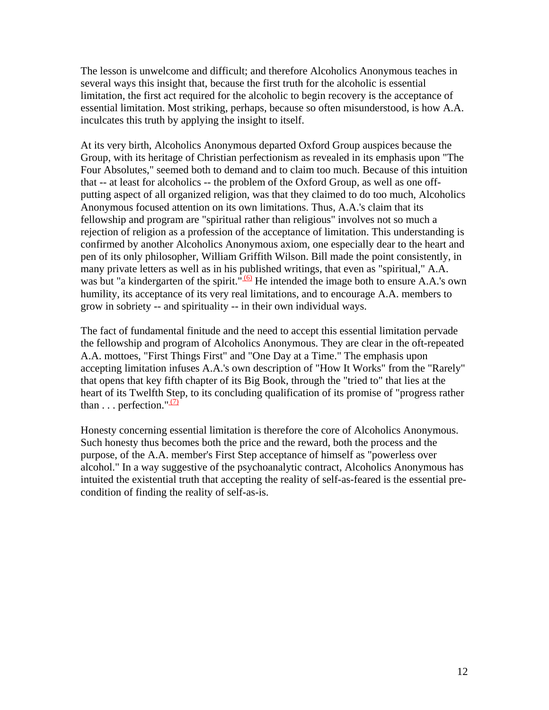The lesson is unwelcome and difficult; and therefore Alcoholics Anonymous teaches in several ways this insight that, because the first truth for the alcoholic is essential limitation, the first act required for the alcoholic to begin recovery is the acceptance of essential limitation. Most striking, perhaps, because so often misunderstood, is how A.A. inculcates this truth by applying the insight to itself.

At its very birth, Alcoholics Anonymous departed Oxford Group auspices because the Group, with its heritage of Christian perfectionism as revealed in its emphasis upon "The Four Absolutes," seemed both to demand and to claim too much. Because of this intuition that -- at least for alcoholics -- the problem of the Oxford Group, as well as one offputting aspect of all organized religion, was that they claimed to do too much, Alcoholics Anonymous focused attention on its own limitations. Thus, A.A.'s claim that its fellowship and program are "spiritual rather than religious" involves not so much a rejection of religion as a profession of the acceptance of limitation. This understanding is confirmed by another Alcoholics Anonymous axiom, one especially dear to the heart and pen of its only philosopher, William Griffith Wilson. Bill made the point consistently, in many private letters as well as in his published writings, that even as "spiritual," A.A. was but "a kindergarten of the spirit." $\frac{(6)}{10}$  He intended the image both to ensure A.A.'s own humility, its acceptance of its very real limitations, and to encourage A.A. members to grow in sobriety -- and spirituality -- in their own individual ways.

The fact of fundamental finitude and the need to accept this essential limitation pervade the fellowship and program of Alcoholics Anonymous. They are clear in the oft-repeated A.A. mottoes, "First Things First" and "One Day at a Time." The emphasis upon accepting limitation infuses A.A.'s own description of "How It Works" from the "Rarely" that opens that key fifth chapter of its Big Book, through the "tried to" that lies at the heart of its Twelfth Step, to its concluding qualification of its promise of "progress rather than  $\ldots$  perfection." $(7)$ 

Honesty concerning essential limitation is therefore the core of Alcoholics Anonymous. Such honesty thus becomes both the price and the reward, both the process and the purpose, of the A.A. member's First Step acceptance of himself as "powerless over alcohol." In a way suggestive of the psychoanalytic contract, Alcoholics Anonymous has intuited the existential truth that accepting the reality of self-as-feared is the essential precondition of finding the reality of self-as-is.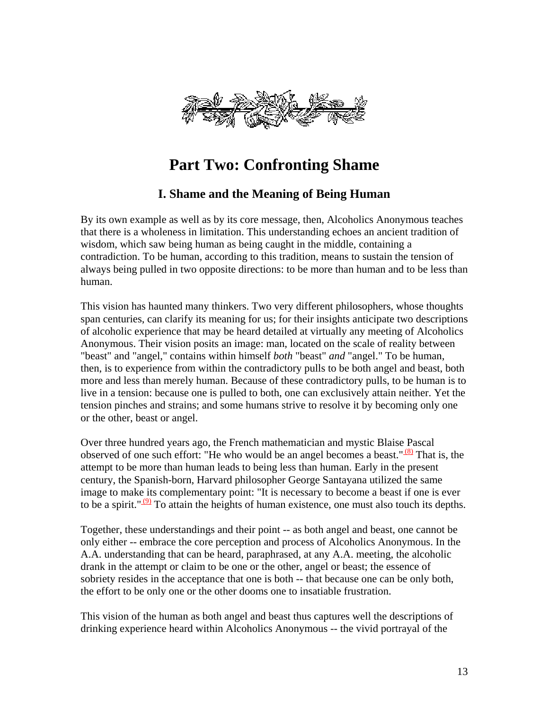

# **Part Two: Confronting Shame**

## **I. Shame and the Meaning of Being Human**

By its own example as well as by its core message, then, Alcoholics Anonymous teaches that there is a wholeness in limitation. This understanding echoes an ancient tradition of wisdom, which saw being human as being caught in the middle, containing a contradiction. To be human, according to this tradition, means to sustain the tension of always being pulled in two opposite directions: to be more than human and to be less than human.

This vision has haunted many thinkers. Two very different philosophers, whose thoughts span centuries, can clarify its meaning for us; for their insights anticipate two descriptions of alcoholic experience that may be heard detailed at virtually any meeting of Alcoholics Anonymous. Their vision posits an image: man, located on the scale of reality between "beast" and "angel," contains within himself *both* "beast" *and* "angel." To be human, then, is to experience from within the contradictory pulls to be both angel and beast, both more and less than merely human. Because of these contradictory pulls, to be human is to live in a tension: because one is pulled to both, one can exclusively attain neither. Yet the tension pinches and strains; and some humans strive to resolve it by becoming only one or the other, beast or angel.

Over three hundred years ago, the French mathematician and mystic Blaise Pascal observed of one such effort: "He who would be an angel becomes a beast." $(8)$  That is, the attempt to be more than human leads to being less than human. Early in the present century, the Spanish-born, Harvard philosopher George Santayana utilized the same image to make its complementary point: "It is necessary to become a beast if one is ever to be a spirit." $(9)$  To attain the heights of human existence, one must also touch its depths.

Together, these understandings and their point -- as both angel and beast, one cannot be only either -- embrace the core perception and process of Alcoholics Anonymous. In the A.A. understanding that can be heard, paraphrased, at any A.A. meeting, the alcoholic drank in the attempt or claim to be one or the other, angel or beast; the essence of sobriety resides in the acceptance that one is both -- that because one can be only both, the effort to be only one or the other dooms one to insatiable frustration.

This vision of the human as both angel and beast thus captures well the descriptions of drinking experience heard within Alcoholics Anonymous -- the vivid portrayal of the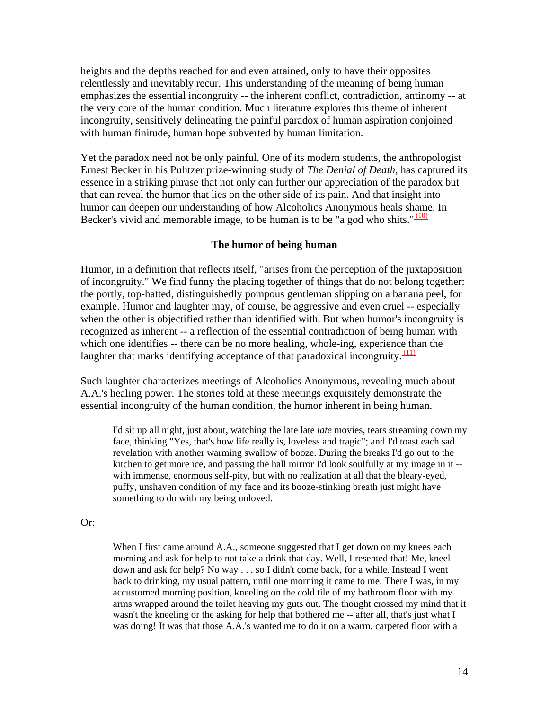heights and the depths reached for and even attained, only to have their opposites relentlessly and inevitably recur. This understanding of the meaning of being human emphasizes the essential incongruity -- the inherent conflict, contradiction, antinomy -- at the very core of the human condition. Much literature explores this theme of inherent incongruity, sensitively delineating the painful paradox of human aspiration conjoined with human finitude, human hope subverted by human limitation.

Yet the paradox need not be only painful. One of its modern students, the anthropologist Ernest Becker in his Pulitzer prize-winning study of *The Denial of Death*, has captured its essence in a striking phrase that not only can further our appreciation of the paradox but that can reveal the humor that lies on the other side of its pain. And that insight into humor can deepen our understanding of how Alcoholics Anonymous heals shame. In Becker's vivid and memorable image, to be human is to be "a god who shits." $(10)$ 

#### **The humor of being human**

Humor, in a definition that reflects itself, "arises from the perception of the juxtaposition of incongruity." We find funny the placing together of things that do not belong together: the portly, top-hatted, distinguishedly pompous gentleman slipping on a banana peel, for example. Humor and laughter may, of course, be aggressive and even cruel -- especially when the other is objectified rather than identified with. But when humor's incongruity is recognized as inherent -- a reflection of the essential contradiction of being human with which one identifies -- there can be no more healing, whole-ing, experience t[ha](http://hindsfoot.org/eksg.html#N_11_#N_11_)n the laughter that marks identifying acceptance of that paradoxical incongruity.  $(11)$ 

Such laughter characterizes meetings of Alcoholics Anonymous, revealing much about A.A.'s healing power. The stories told at these meetings exquisitely demonstrate the essential incongruity of the human condition, the humor inherent in being human.

I'd sit up all night, just about, watching the late late *late* movies, tears streaming down my face, thinking "Yes, that's how life really is, loveless and tragic"; and I'd toast each sad revelation with another warming swallow of booze. During the breaks I'd go out to the kitchen to get more ice, and passing the hall mirror I'd look soulfully at my image in it - with immense, enormous self-pity, but with no realization at all that the bleary-eyed, puffy, unshaven condition of my face and its booze-stinking breath just might have something to do with my being unloved.

#### Or:

When I first came around A.A., someone suggested that I get down on my knees each morning and ask for help to not take a drink that day. Well, I resented that! Me, kneel down and ask for help? No way . . . so I didn't come back, for a while. Instead I went back to drinking, my usual pattern, until one morning it came to me. There I was, in my accustomed morning position, kneeling on the cold tile of my bathroom floor with my arms wrapped around the toilet heaving my guts out. The thought crossed my mind that it wasn't the kneeling or the asking for help that bothered me -- after all, that's just what I was doing! It was that those A.A.'s wanted me to do it on a warm, carpeted floor with a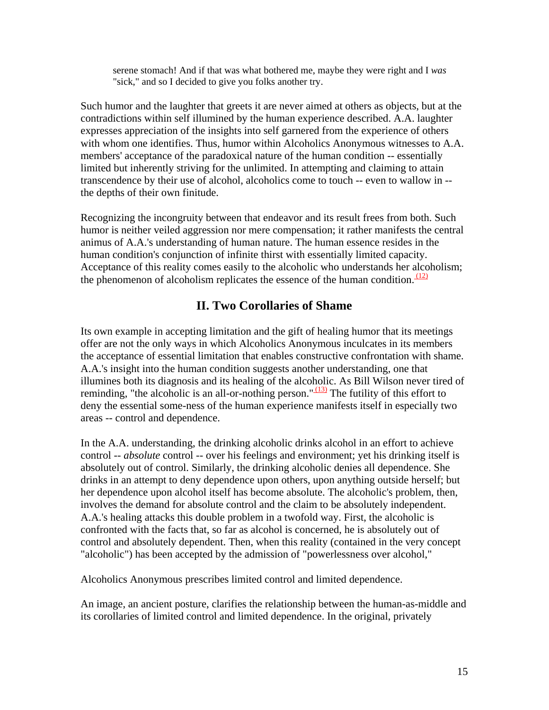serene stomach! And if that was what bothered me, maybe they were right and I *was* "sick," and so I decided to give you folks another try.

Such humor and the laughter that greets it are never aimed at others as objects, but at the contradictions within self illumined by the human experience described. A.A. laughter expresses appreciation of the insights into self garnered from the experience of others with whom one identifies. Thus, humor within Alcoholics Anonymous witnesses to A.A. members' acceptance of the paradoxical nature of the human condition -- essentially limited but inherently striving for the unlimited. In attempting and claiming to attain transcendence by their use of alcohol, alcoholics come to touch -- even to wallow in - the depths of their own finitude.

Recognizing the incongruity between that endeavor and its result frees from both. Such humor is neither veiled aggression nor mere compensation; it rather manifests the central animus of A.A.'s understanding of human nature. The human essence resides in the human condition's conjunction of infinite thirst with essentially limited capacity. Acceptance of this reality comes easily to the alcoholic who understands her alcoholism; the phenomenon of alcoholism replicates the essence of the human condition.  $(12)$ 

#### **II. Two Corollaries of Shame**

Its own example in accepting limitation and the gift of healing humor that its meetings offer are not the only ways in which Alcoholics Anonymous inculcates in its members the acceptance of essential limitation that enables constructive confrontation with shame. A.A.'s insight into the human condition suggests another understanding, one that illumines both its diagnosis and its healing of the alcoholic. As Bill Wilson never tired of reminding, "the alcoholic is an all-or-nothing person." [\(13\)](http://hindsfoot.org/eksg.html#N_13_#N_13_) The futility of this effort to deny the essential some-ness of the human experience manifests itself in especially two areas -- control and dependence.

In the A.A. understanding, the drinking alcoholic drinks alcohol in an effort to achieve control -- *absolute* control -- over his feelings and environment; yet his drinking itself is absolutely out of control. Similarly, the drinking alcoholic denies all dependence. She drinks in an attempt to deny dependence upon others, upon anything outside herself; but her dependence upon alcohol itself has become absolute. The alcoholic's problem, then, involves the demand for absolute control and the claim to be absolutely independent. A.A.'s healing attacks this double problem in a twofold way. First, the alcoholic is confronted with the facts that, so far as alcohol is concerned, he is absolutely out of control and absolutely dependent. Then, when this reality (contained in the very concept "alcoholic") has been accepted by the admission of "powerlessness over alcohol,"

Alcoholics Anonymous prescribes limited control and limited dependence.

An image, an ancient posture, clarifies the relationship between the human-as-middle and its corollaries of limited control and limited dependence. In the original, privately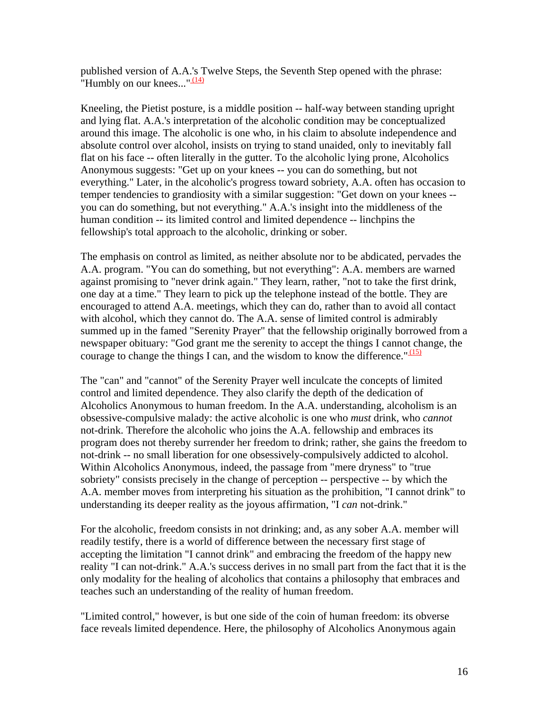published version of A.A.'s [T](http://hindsfoot.org/eksg.html#N_14_#N_14_)welve Steps, the Seventh Step opened with the phrase: "Humbly on our knees..." $(14)$ 

Kneeling, the Pietist posture, is a middle position -- half-way between standing upright and lying flat. A.A.'s interpretation of the alcoholic condition may be conceptualized around this image. The alcoholic is one who, in his claim to absolute independence and absolute control over alcohol, insists on trying to stand unaided, only to inevitably fall flat on his face -- often literally in the gutter. To the alcoholic lying prone, Alcoholics Anonymous suggests: "Get up on your knees -- you can do something, but not everything." Later, in the alcoholic's progress toward sobriety, A.A. often has occasion to temper tendencies to grandiosity with a similar suggestion: "Get down on your knees - you can do something, but not everything." A.A.'s insight into the middleness of the human condition -- its limited control and limited dependence -- linchpins the fellowship's total approach to the alcoholic, drinking or sober.

The emphasis on control as limited, as neither absolute nor to be abdicated, pervades the A.A. program. "You can do something, but not everything": A.A. members are warned against promising to "never drink again." They learn, rather, "not to take the first drink, one day at a time." They learn to pick up the telephone instead of the bottle. They are encouraged to attend A.A. meetings, which they can do, rather than to avoid all contact with alcohol, which they cannot do. The A.A. sense of limited control is admirably summed up in the famed "Serenity Prayer" that the fellowship originally borrowed from a newspaper obituary: "God grant me the serenity to accept the things I cannot change, the courage to change the things I can, and the wisdom to know the difference." $(15)$ 

The "can" and "cannot" of the Serenity Prayer well inculcate the concepts of limited control and limited dependence. They also clarify the depth of the dedication of Alcoholics Anonymous to human freedom. In the A.A. understanding, alcoholism is an obsessive-compulsive malady: the active alcoholic is one who *must* drink, who *cannot*  not-drink. Therefore the alcoholic who joins the A.A. fellowship and embraces its program does not thereby surrender her freedom to drink; rather, she gains the freedom to not-drink -- no small liberation for one obsessively-compulsively addicted to alcohol. Within Alcoholics Anonymous, indeed, the passage from "mere dryness" to "true sobriety" consists precisely in the change of perception -- perspective -- by which the A.A. member moves from interpreting his situation as the prohibition, "I cannot drink" to understanding its deeper reality as the joyous affirmation, "I *can* not-drink."

For the alcoholic, freedom consists in not drinking; and, as any sober A.A. member will readily testify, there is a world of difference between the necessary first stage of accepting the limitation "I cannot drink" and embracing the freedom of the happy new reality "I can not-drink." A.A.'s success derives in no small part from the fact that it is the only modality for the healing of alcoholics that contains a philosophy that embraces and teaches such an understanding of the reality of human freedom.

"Limited control," however, is but one side of the coin of human freedom: its obverse face reveals limited dependence. Here, the philosophy of Alcoholics Anonymous again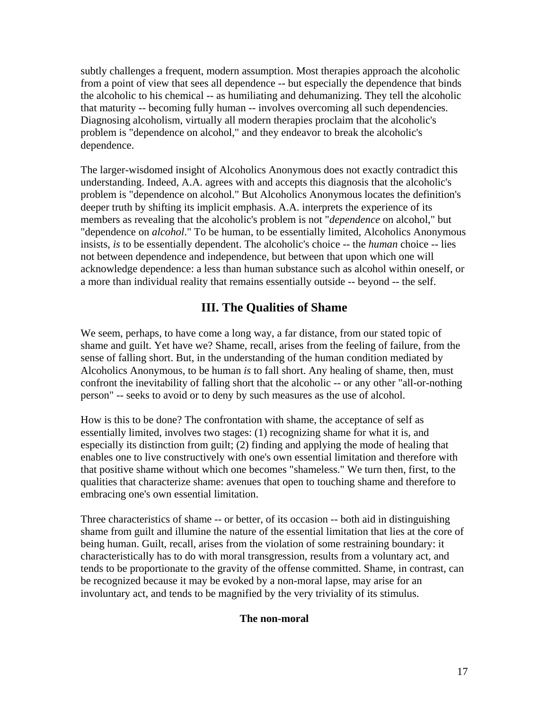subtly challenges a frequent, modern assumption. Most therapies approach the alcoholic from a point of view that sees all dependence -- but especially the dependence that binds the alcoholic to his chemical -- as humiliating and dehumanizing. They tell the alcoholic that maturity -- becoming fully human -- involves overcoming all such dependencies. Diagnosing alcoholism, virtually all modern therapies proclaim that the alcoholic's problem is "dependence on alcohol," and they endeavor to break the alcoholic's dependence.

The larger-wisdomed insight of Alcoholics Anonymous does not exactly contradict this understanding. Indeed, A.A. agrees with and accepts this diagnosis that the alcoholic's problem is "dependence on alcohol." But Alcoholics Anonymous locates the definition's deeper truth by shifting its implicit emphasis. A.A. interprets the experience of its members as revealing that the alcoholic's problem is not "*dependence* on alcohol," but "dependence on *alcohol*." To be human, to be essentially limited, Alcoholics Anonymous insists, *is* to be essentially dependent. The alcoholic's choice -- the *human* choice -- lies not between dependence and independence, but between that upon which one will acknowledge dependence: a less than human substance such as alcohol within oneself, or a more than individual reality that remains essentially outside -- beyond -- the self.

## **III. The Qualities of Shame**

We seem, perhaps, to have come a long way, a far distance, from our stated topic of shame and guilt. Yet have we? Shame, recall, arises from the feeling of failure, from the sense of falling short. But, in the understanding of the human condition mediated by Alcoholics Anonymous, to be human *is* to fall short. Any healing of shame, then, must confront the inevitability of falling short that the alcoholic -- or any other "all-or-nothing person" -- seeks to avoid or to deny by such measures as the use of alcohol.

How is this to be done? The confrontation with shame, the acceptance of self as essentially limited, involves two stages: (1) recognizing shame for what it is, and especially its distinction from guilt; (2) finding and applying the mode of healing that enables one to live constructively with one's own essential limitation and therefore with that positive shame without which one becomes "shameless." We turn then, first, to the qualities that characterize shame: avenues that open to touching shame and therefore to embracing one's own essential limitation.

Three characteristics of shame -- or better, of its occasion -- both aid in distinguishing shame from guilt and illumine the nature of the essential limitation that lies at the core of being human. Guilt, recall, arises from the violation of some restraining boundary: it characteristically has to do with moral transgression, results from a voluntary act, and tends to be proportionate to the gravity of the offense committed. Shame, in contrast, can be recognized because it may be evoked by a non-moral lapse, may arise for an involuntary act, and tends to be magnified by the very triviality of its stimulus.

#### **The non-moral**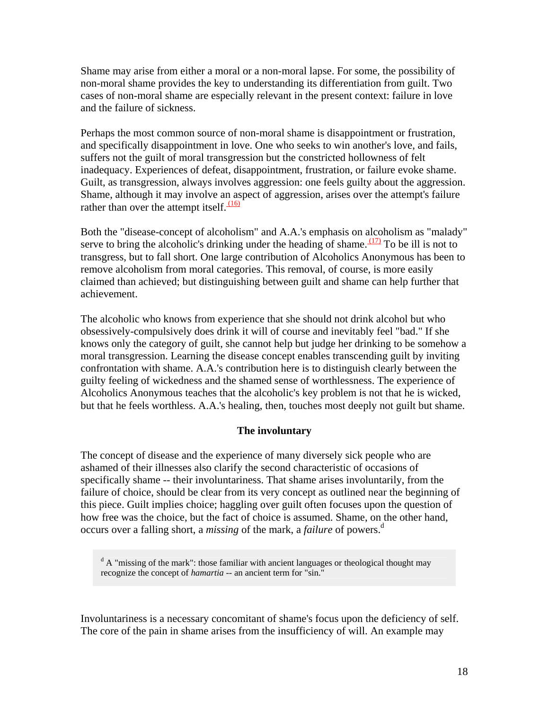Shame may arise from either a moral or a non-moral lapse. For some, the possibility of non-moral shame provides the key to understanding its differentiation from guilt. Two cases of non-moral shame are especially relevant in the present context: failure in love and the failure of sickness.

Perhaps the most common source of non-moral shame is disappointment or frustration, and specifically disappointment in love. One who seeks to win another's love, and fails, suffers not the guilt of moral transgression but the constricted hollowness of felt inadequacy. Experiences of defeat, disappointment, frustration, or failure evoke shame. Guilt, as transgression, always involves aggression: one feels guilty about the aggression. Shame, although it may involve an aspect of aggression, arises over the attempt's failure rather than over the attempt itself.  $\frac{(16)}{2}$ 

Both the "disease-concept of alcoholism" and A.A.'s emphasis on alcoholism as "malady" serve to bring the alcoholic's drinking under the heading of shame.  $(17)$  To be ill is not to transgress, but to fall short. One large contribution of Alcoholics Anonymous has been to remove alcoholism from moral categories. This removal, of course, is more easily claimed than achieved; but distinguishing between guilt and shame can help further that achievement.

The alcoholic who knows from experience that she should not drink alcohol but who obsessively-compulsively does drink it will of course and inevitably feel "bad." If she knows only the category of guilt, she cannot help but judge her drinking to be somehow a moral transgression. Learning the disease concept enables transcending guilt by inviting confrontation with shame. A.A.'s contribution here is to distinguish clearly between the guilty feeling of wickedness and the shamed sense of worthlessness. The experience of Alcoholics Anonymous teaches that the alcoholic's key problem is not that he is wicked, but that he feels worthless. A.A.'s healing, then, touches most deeply not guilt but shame.

#### **The involuntary**

The concept of disease and the experience of many diversely sick people who are ashamed of their illnesses also clarify the second characteristic of occasions of specifically shame -- their involuntariness. That shame arises involuntarily, from the failure of choice, should be clear from its very concept as outlined near the beginning of this piece. Guilt implies choice; haggling over guilt often focuses upon the question of how free was the choice, but the fact of choice is assumed. Shame, on the other hand, occurs over a falling short, a *missing* of the mark, a *failure* of powers.<sup>d</sup>

<sup>d</sup> A "missing of the mark": those familiar with ancient languages or theological thought may recognize the concept of *hamartia* -- an ancient term for "sin."

Involuntariness is a necessary concomitant of shame's focus upon the deficiency of self. The core of the pain in shame arises from the insufficiency of will. An example may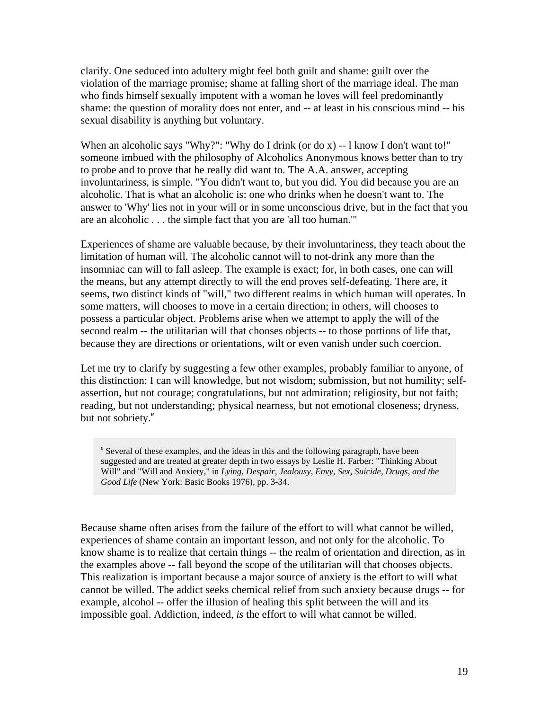clarify. One seduced into adultery might feel both guilt and shame: guilt over the violation of the marriage promise; shame at falling short of the marriage ideal. The man who finds himself sexually impotent with a woman he loves will feel predominantly shame: the question of morality does not enter, and -- at least in his conscious mind -- his sexual disability is anything but voluntary.

When an alcoholic says "Why?": "Why do I drink (or do x)  $-1$  know I don't want to!" someone imbued with the philosophy of Alcoholics Anonymous knows better than to try to probe and to prove that he really did want to. The A.A. answer, accepting involuntariness, is simple. "You didn't want to, but you did. You did because you are an alcoholic. That is what an alcoholic is: one who drinks when he doesn't want to. The answer to 'Why' lies not in your will or in some unconscious drive, but in the fact that you are an alcoholic . . . the simple fact that you are 'all too human.'"

Experiences of shame are valuable because, by their involuntariness, they teach about the limitation of human will. The alcoholic cannot will to not-drink any more than the insomniac can will to fall asleep. The example is exact; for, in both cases, one can will the means, but any attempt directly to will the end proves self-defeating. There are, it seems, two distinct kinds of "will," two different realms in which human will operates. In some matters, will chooses to move in a certain direction; in others, will chooses to possess a particular object. Problems arise when we attempt to apply the will of the second realm -- the utilitarian will that chooses objects -- to those portions of life that, because they are directions or orientations, wilt or even vanish under such coercion.

Let me try to clarify by suggesting a few other examples, probably familiar to anyone, of this distinction: I can will knowledge, but not wisdom; submission, but not humility; selfassertion, but not courage; congratulations, but not admiration; religiosity, but not faith; reading, but not understanding; physical nearness, but not emotional closeness; dryness, but not sobriety.<sup>e</sup>

<sup>e</sup> Several of these examples, and the ideas in this and the following paragraph, have been suggested and are treated at greater depth in two essays by Leslie H. Farber: "Thinking About Will" and "Will and Anxiety," in *Lying, Despair, Jealousy, Envy, Sex, Suicide, Drugs, and the Good Life* (New York: Basic Books 1976), pp. 3-34.

Because shame often arises from the failure of the effort to will what cannot be willed, experiences of shame contain an important lesson, and not only for the alcoholic. To know shame is to realize that certain things -- the realm of orientation and direction, as in the examples above -- fall beyond the scope of the utilitarian will that chooses objects. This realization is important because a major source of anxiety is the effort to will what cannot be willed. The addict seeks chemical relief from such anxiety because drugs -- for example, alcohol -- offer the illusion of healing this split between the will and its impossible goal. Addiction, indeed, *is* the effort to will what cannot be willed.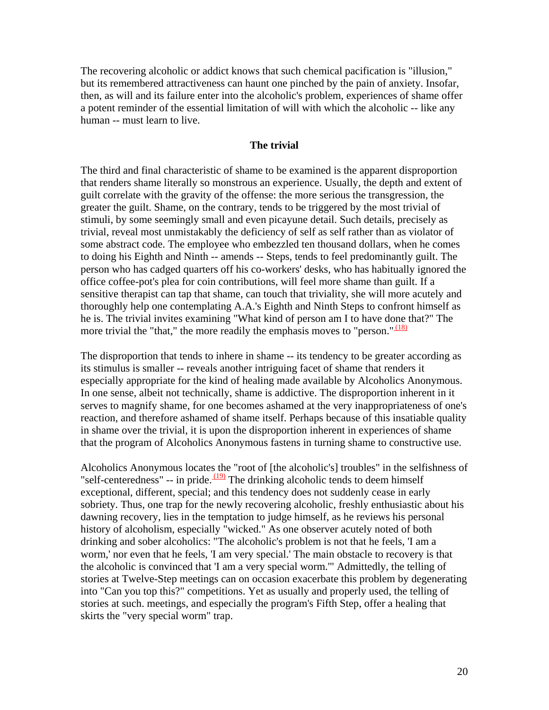The recovering alcoholic or addict knows that such chemical pacification is "illusion," but its remembered attractiveness can haunt one pinched by the pain of anxiety. Insofar, then, as will and its failure enter into the alcoholic's problem, experiences of shame offer a potent reminder of the essential limitation of will with which the alcoholic -- like any human -- must learn to live.

#### **The trivial**

The third and final characteristic of shame to be examined is the apparent disproportion that renders shame literally so monstrous an experience. Usually, the depth and extent of guilt correlate with the gravity of the offense: the more serious the transgression, the greater the guilt. Shame, on the contrary, tends to be triggered by the most trivial of stimuli, by some seemingly small and even picayune detail. Such details, precisely as trivial, reveal most unmistakably the deficiency of self as self rather than as violator of some abstract code. The employee who embezzled ten thousand dollars, when he comes to doing his Eighth and Ninth -- amends -- Steps, tends to feel predominantly guilt. The person who has cadged quarters off his co-workers' desks, who has habitually ignored the office coffee-pot's plea for coin contributions, will feel more shame than guilt. If a sensitive therapist can tap that shame, can touch that triviality, she will more acutely and thoroughly help one contemplating A.A.'s Eighth and Ninth Steps to confront himself as he is. The trivial invites examining "What kind of person am I to have done that?" The more trivial the "that," the more readily the emphasis moves to "person." $\frac{(18)}{(18)}$ 

The disproportion that tends to inhere in shame -- its tendency to be greater according as its stimulus is smaller -- reveals another intriguing facet of shame that renders it especially appropriate for the kind of healing made available by Alcoholics Anonymous. In one sense, albeit not technically, shame is addictive. The disproportion inherent in it serves to magnify shame, for one becomes ashamed at the very inappropriateness of one's reaction, and therefore ashamed of shame itself. Perhaps because of this insatiable quality in shame over the trivial, it is upon the disproportion inherent in experiences of shame that the program of Alcoholics Anonymous fastens in turning shame to constructive use.

Alcoholics Anonymous locates the "root of [the alcoholic's] troubles" in the selfishness of "self-centeredness" -- in pride.  $(19)$  The drinking alcoholic tends to deem himself exceptional, different, special; and this tendency does not suddenly cease in early sobriety. Thus, one trap for the newly recovering alcoholic, freshly enthusiastic about his dawning recovery, lies in the temptation to judge himself, as he reviews his personal history of alcoholism, especially "wicked." As one observer acutely noted of both drinking and sober alcoholics: "The alcoholic's problem is not that he feels, 'I am a worm,' nor even that he feels, 'I am very special.' The main obstacle to recovery is that the alcoholic is convinced that 'I am a very special worm.'" Admittedly, the telling of stories at Twelve-Step meetings can on occasion exacerbate this problem by degenerating into "Can you top this?" competitions. Yet as usually and properly used, the telling of stories at such. meetings, and especially the program's Fifth Step, offer a healing that skirts the "very special worm" trap.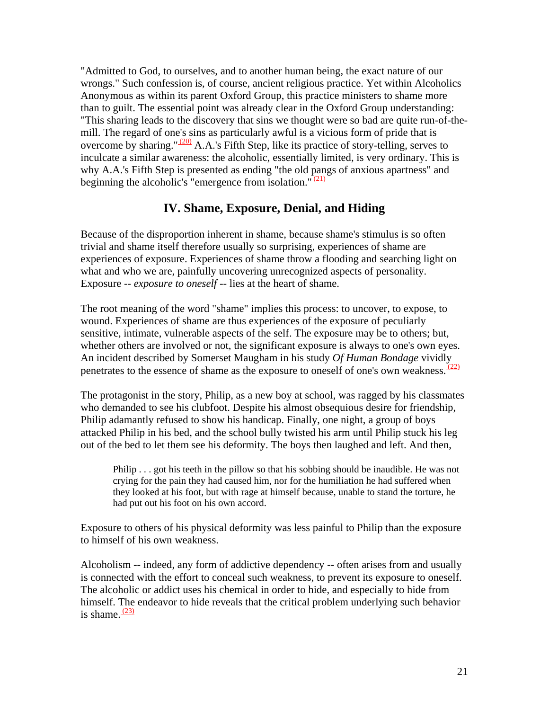"Admitted to God, to ourselves, and to another human being, the exact nature of our wrongs." Such confession is, of course, ancient religious practice. Yet within Alcoholics Anonymous as within its parent Oxford Group, this practice ministers to shame more than to guilt. The essential point was already clear in the Oxford Group understanding: "This sharing leads to the discovery that sins we thought were so bad are quite run-of-themill. The regard of one's sins as particularly awful is a vicious form of pride that is overcome by sharing."  $(20)$  A.A.'s Fifth Step, like its practice of story-telling, serves to inculcate a similar awareness: the alcoholic, essentially limited, is very ordinary. This is why A.A.'s Fifth Step is presented as ending "the old pangs of anxious apartness" and beginning the alcoholic's "emergence from isolation." $(21)$ 

#### **IV. Shame, Exposure, Denial, and Hiding**

Because of the disproportion inherent in shame, because shame's stimulus is so often trivial and shame itself therefore usually so surprising, experiences of shame are experiences of exposure. Experiences of shame throw a flooding and searching light on what and who we are, painfully uncovering unrecognized aspects of personality. Exposure -- *exposure to oneself* -- lies at the heart of shame.

The root meaning of the word "shame" implies this process: to uncover, to expose, to wound. Experiences of shame are thus experiences of the exposure of peculiarly sensitive, intimate, vulnerable aspects of the self. The exposure may be to others; but, whether others are involved or not, the significant exposure is always to one's own eyes. An incident described by Somerset Maugham in his study *Of Human Bondage* vividly penetrates to the essence of shame as the exposure to oneself of one's own weakness.  $(22)$ 

The protagonist in the story, Philip, as a new boy at school, was ragged by his classmates who demanded to see his clubfoot. Despite his almost obsequious desire for friendship, Philip adamantly refused to show his handicap. Finally, one night, a group of boys attacked Philip in his bed, and the school bully twisted his arm until Philip stuck his leg out of the bed to let them see his deformity. The boys then laughed and left. And then,

Philip . . . got his teeth in the pillow so that his sobbing should be inaudible. He was not crying for the pain they had caused him, nor for the humiliation he had suffered when they looked at his foot, but with rage at himself because, unable to stand the torture, he had put out his foot on his own accord.

Exposure to others of his physical deformity was less painful to Philip than the exposure to himself of his own weakness.

Alcoholism -- indeed, any form of addictive dependency -- often arises from and usually is connected with the effort to conceal such weakness, to prevent its exposure to oneself. The alcoholic or addict uses his chemical in order to hide, and especially to hide from himself. Th[e](http://hindsfoot.org/eksg.html#N_23_#N_23_) endeavor to hide reveals that the critical problem underlying such behavior is shame. $\frac{(23)}{2}$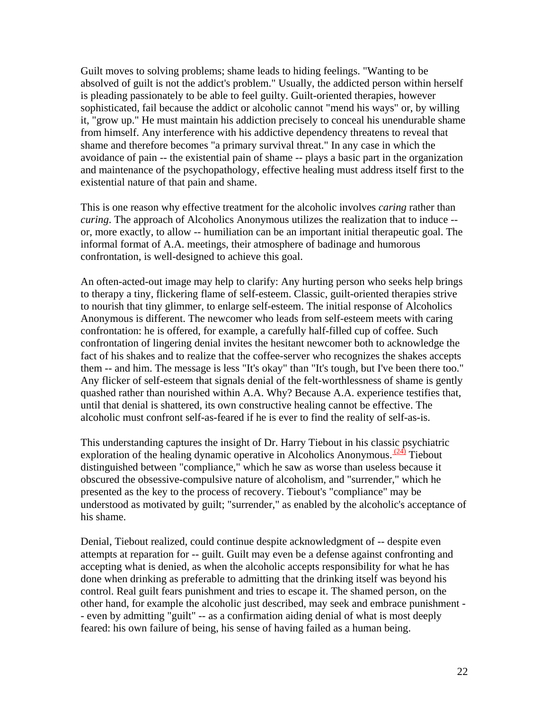Guilt moves to solving problems; shame leads to hiding feelings. "Wanting to be absolved of guilt is not the addict's problem." Usually, the addicted person within herself is pleading passionately to be able to feel guilty. Guilt-oriented therapies, however sophisticated, fail because the addict or alcoholic cannot "mend his ways" or, by willing it, "grow up." He must maintain his addiction precisely to conceal his unendurable shame from himself. Any interference with his addictive dependency threatens to reveal that shame and therefore becomes "a primary survival threat." In any case in which the avoidance of pain -- the existential pain of shame -- plays a basic part in the organization and maintenance of the psychopathology, effective healing must address itself first to the existential nature of that pain and shame.

This is one reason why effective treatment for the alcoholic involves *caring* rather than *curing*. The approach of Alcoholics Anonymous utilizes the realization that to induce - or, more exactly, to allow -- humiliation can be an important initial therapeutic goal. The informal format of A.A. meetings, their atmosphere of badinage and humorous confrontation, is well-designed to achieve this goal.

An often-acted-out image may help to clarify: Any hurting person who seeks help brings to therapy a tiny, flickering flame of self-esteem. Classic, guilt-oriented therapies strive to nourish that tiny glimmer, to enlarge self-esteem. The initial response of Alcoholics Anonymous is different. The newcomer who leads from self-esteem meets with caring confrontation: he is offered, for example, a carefully half-filled cup of coffee. Such confrontation of lingering denial invites the hesitant newcomer both to acknowledge the fact of his shakes and to realize that the coffee-server who recognizes the shakes accepts them -- and him. The message is less "It's okay" than "It's tough, but I've been there too." Any flicker of self-esteem that signals denial of the felt-worthlessness of shame is gently quashed rather than nourished within A.A. Why? Because A.A. experience testifies that, until that denial is shattered, its own constructive healing cannot be effective. The alcoholic must confront self-as-feared if he is ever to find the reality of self-as-is.

This understanding captures the insight of Dr. Harry Tiebout in his classic psychiatric exploration of the healing dynamic operative in Alcoholics Anonymous.  $(24)$  Tiebout distinguished between "compliance," which he saw as worse than useless because it obscured the obsessive-compulsive nature of alcoholism, and "surrender," which he presented as the key to the process of recovery. Tiebout's "compliance" may be understood as motivated by guilt; "surrender," as enabled by the alcoholic's acceptance of his shame.

Denial, Tiebout realized, could continue despite acknowledgment of -- despite even attempts at reparation for -- guilt. Guilt may even be a defense against confronting and accepting what is denied, as when the alcoholic accepts responsibility for what he has done when drinking as preferable to admitting that the drinking itself was beyond his control. Real guilt fears punishment and tries to escape it. The shamed person, on the other hand, for example the alcoholic just described, may seek and embrace punishment - - even by admitting "guilt" -- as a confirmation aiding denial of what is most deeply feared: his own failure of being, his sense of having failed as a human being.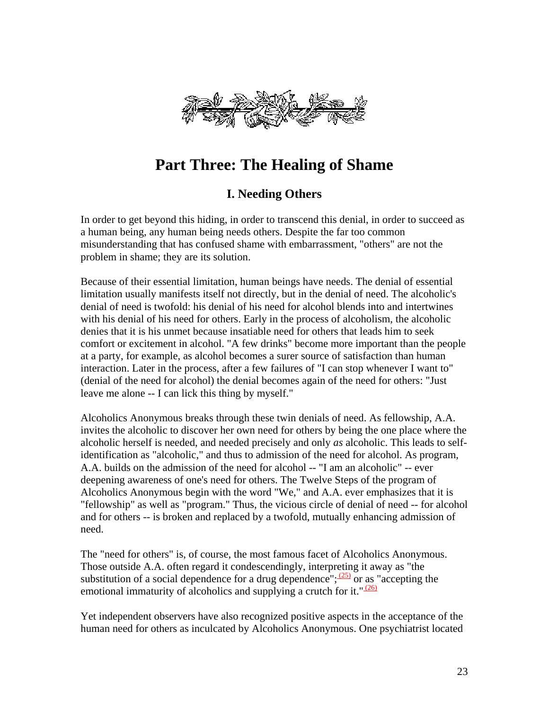

# **Part Three: The Healing of Shame**

## **I. Needing Others**

In order to get beyond this hiding, in order to transcend this denial, in order to succeed as a human being, any human being needs others. Despite the far too common misunderstanding that has confused shame with embarrassment, "others" are not the problem in shame; they are its solution.

Because of their essential limitation, human beings have needs. The denial of essential limitation usually manifests itself not directly, but in the denial of need. The alcoholic's denial of need is twofold: his denial of his need for alcohol blends into and intertwines with his denial of his need for others. Early in the process of alcoholism, the alcoholic denies that it is his unmet because insatiable need for others that leads him to seek comfort or excitement in alcohol. "A few drinks" become more important than the people at a party, for example, as alcohol becomes a surer source of satisfaction than human interaction. Later in the process, after a few failures of "I can stop whenever I want to" (denial of the need for alcohol) the denial becomes again of the need for others: "Just leave me alone -- I can lick this thing by myself."

Alcoholics Anonymous breaks through these twin denials of need. As fellowship, A.A. invites the alcoholic to discover her own need for others by being the one place where the alcoholic herself is needed, and needed precisely and only *as* alcoholic. This leads to selfidentification as "alcoholic," and thus to admission of the need for alcohol. As program, A.A. builds on the admission of the need for alcohol -- "I am an alcoholic" -- ever deepening awareness of one's need for others. The Twelve Steps of the program of Alcoholics Anonymous begin with the word "We," and A.A. ever emphasizes that it is "fellowship" as well as "program." Thus, the vicious circle of denial of need -- for alcohol and for others -- is broken and replaced by a twofold, mutually enhancing admission of need.

The "need for others" is, of course, the most famous facet of Alcoholics Anonymous. Those outside A.A. often regard it condescendingly, interpreting it away as "the substitution of a social dependence for a drug dependence["](http://hindsfoot.org/eksg.html#N_26_#N_26_);  $\frac{(25)}{25}$  or as "accepting the emotional immaturity of alcoholics and supplying a crutch for it.  $\frac{20}{20}$ 

Yet independent observers have also recognized positive aspects in the acceptance of the human need for others as inculcated by Alcoholics Anonymous. One psychiatrist located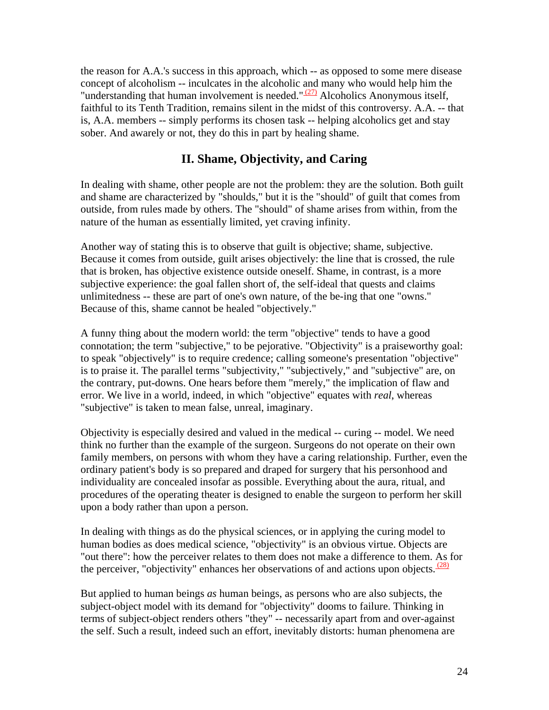the reason for A.A.'s success in this approach, which -- as opposed to some mere disease concept of alcoholism -- inculcates in the alcoholic and many who would help him the "understanding that human involvement is needed." $(27)$  Alcoholics Anonymous itself, faithful to its Tenth Tradition, remains silent in the midst of this controversy. A.A. -- that is, A.A. members -- simply performs its chosen task -- helping alcoholics get and stay sober. And awarely or not, they do this in part by healing shame.

#### **II. Shame, Objectivity, and Caring**

In dealing with shame, other people are not the problem: they are the solution. Both guilt and shame are characterized by "shoulds," but it is the "should" of guilt that comes from outside, from rules made by others. The "should" of shame arises from within, from the nature of the human as essentially limited, yet craving infinity.

Another way of stating this is to observe that guilt is objective; shame, subjective. Because it comes from outside, guilt arises objectively: the line that is crossed, the rule that is broken, has objective existence outside oneself. Shame, in contrast, is a more subjective experience: the goal fallen short of, the self-ideal that quests and claims unlimitedness -- these are part of one's own nature, of the be-ing that one "owns." Because of this, shame cannot be healed "objectively."

A funny thing about the modern world: the term "objective" tends to have a good connotation; the term "subjective," to be pejorative. "Objectivity" is a praiseworthy goal: to speak "objectively" is to require credence; calling someone's presentation "objective" is to praise it. The parallel terms "subjectivity," "subjectively," and "subjective" are, on the contrary, put-downs. One hears before them "merely," the implication of flaw and error. We live in a world, indeed, in which "objective" equates with *real*, whereas "subjective" is taken to mean false, unreal, imaginary.

Objectivity is especially desired and valued in the medical -- curing -- model. We need think no further than the example of the surgeon. Surgeons do not operate on their own family members, on persons with whom they have a caring relationship. Further, even the ordinary patient's body is so prepared and draped for surgery that his personhood and individuality are concealed insofar as possible. Everything about the aura, ritual, and procedures of the operating theater is designed to enable the surgeon to perform her skill upon a body rather than upon a person.

In dealing with things as do the physical sciences, or in applying the curing model to human bodies as does medical science, "objectivity" is an obvious virtue. Objects are "out there": how the perceiver relates to them does not make a difference to them. As for the perceiver, "objectivity" enhances her observations of and actions upon objects.  $\frac{(28)}{28}$ 

But applied to human beings *as* human beings, as persons who are also subjects, the subject-object model with its demand for "objectivity" dooms to failure. Thinking in terms of subject-object renders others "they" -- necessarily apart from and over-against the self. Such a result, indeed such an effort, inevitably distorts: human phenomena are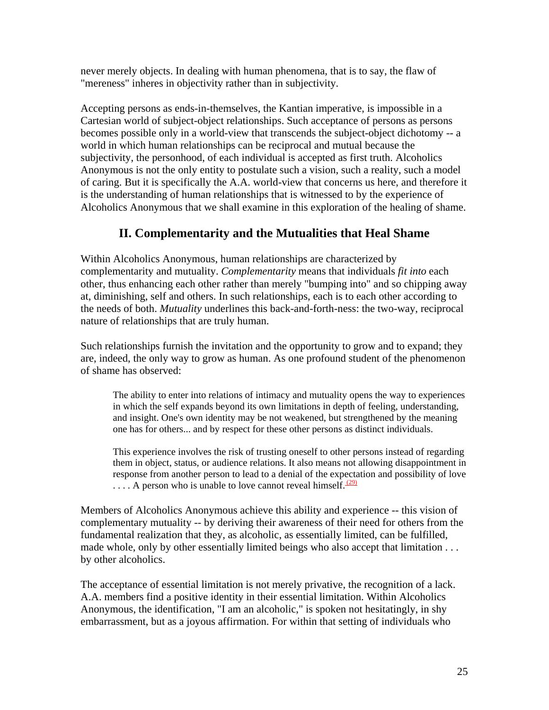never merely objects. In dealing with human phenomena, that is to say, the flaw of "mereness" inheres in objectivity rather than in subjectivity.

Accepting persons as ends-in-themselves, the Kantian imperative, is impossible in a Cartesian world of subject-object relationships. Such acceptance of persons as persons becomes possible only in a world-view that transcends the subject-object dichotomy -- a world in which human relationships can be reciprocal and mutual because the subjectivity, the personhood, of each individual is accepted as first truth. Alcoholics Anonymous is not the only entity to postulate such a vision, such a reality, such a model of caring. But it is specifically the A.A. world-view that concerns us here, and therefore it is the understanding of human relationships that is witnessed to by the experience of Alcoholics Anonymous that we shall examine in this exploration of the healing of shame.

## **II. Complementarity and the Mutualities that Heal Shame**

Within Alcoholics Anonymous, human relationships are characterized by complementarity and mutuality. *Complementarity* means that individuals *fit into* each other, thus enhancing each other rather than merely "bumping into" and so chipping away at, diminishing, self and others. In such relationships, each is to each other according to the needs of both. *Mutuality* underlines this back-and-forth-ness: the two-way, reciprocal nature of relationships that are truly human.

Such relationships furnish the invitation and the opportunity to grow and to expand; they are, indeed, the only way to grow as human. As one profound student of the phenomenon of shame has observed:

The ability to enter into relations of intimacy and mutuality opens the way to experiences in which the self expands beyond its own limitations in depth of feeling, understanding, and insight. One's own identity may be not weakened, but strengthened by the meaning one has for others... and by respect for these other persons as distinct individuals.

This experience involves the risk of trusting oneself to other persons instead of regarding them in object, status, or audience relations. It also means not allowing disappointment in response from another person to lead to a denial of the expectation and possibility of love  $\ldots$  A person who is unable to love cannot reveal himself.  $(29)$ 

Members of Alcoholics Anonymous achieve this ability and experience -- this vision of complementary mutuality -- by deriving their awareness of their need for others from the fundamental realization that they, as alcoholic, as essentially limited, can be fulfilled, made whole, only by other essentially limited beings who also accept that limitation . . . by other alcoholics.

The acceptance of essential limitation is not merely privative, the recognition of a lack. A.A. members find a positive identity in their essential limitation. Within Alcoholics Anonymous, the identification, "I am an alcoholic," is spoken not hesitatingly, in shy embarrassment, but as a joyous affirmation. For within that setting of individuals who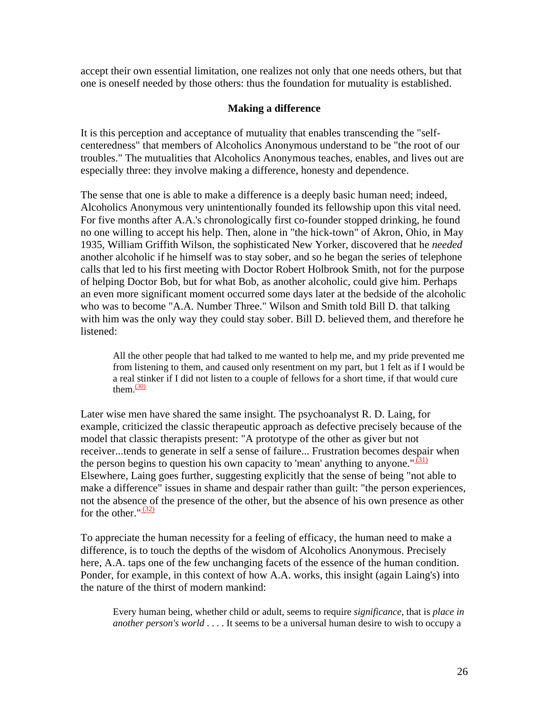accept their own essential limitation, one realizes not only that one needs others, but that one is oneself needed by those others: thus the foundation for mutuality is established.

#### **Making a difference**

It is this perception and acceptance of mutuality that enables transcending the "selfcenteredness" that members of Alcoholics Anonymous understand to be "the root of our troubles." The mutualities that Alcoholics Anonymous teaches, enables, and lives out are especially three: they involve making a difference, honesty and dependence.

The sense that one is able to make a difference is a deeply basic human need; indeed, Alcoholics Anonymous very unintentionally founded its fellowship upon this vital need. For five months after A.A.'s chronologically first co-founder stopped drinking, he found no one willing to accept his help. Then, alone in "the hick-town" of Akron, Ohio, in May 1935, William Griffith Wilson, the sophisticated New Yorker, discovered that he *needed* another alcoholic if he himself was to stay sober, and so he began the series of telephone calls that led to his first meeting with Doctor Robert Holbrook Smith, not for the purpose of helping Doctor Bob, but for what Bob, as another alcoholic, could give him. Perhaps an even more significant moment occurred some days later at the bedside of the alcoholic who was to become "A.A. Number Three." Wilson and Smith told Bill D. that talking with him was the only way they could stay sober. Bill D. believed them, and therefore he listened:

All the other people that had talked to me wanted to help me, and my pride prevented me from listening to them, and caused only resentment on my part, but 1 felt as if I would be a real stinker if I did not listen to a couple of fellows for a short time, if that would cure them. $\frac{(30)}{2}$  $\frac{(30)}{2}$  $\frac{(30)}{2}$ 

Later wise men have shared the same insight. The psychoanalyst R. D. Laing, for example, criticized the classic therapeutic approach as defective precisely because of the model that classic therapists present: "A prototype of the other as giver but not receiver...tends to generate in self a sense of failure... Frustration becomes despair when the person begins to question his own capacity to 'mean' anything to anyone." $(31)$ Elsewhere, Laing goes further, suggesting explicitly that the sense of being "not able to make a difference" issues in shame and despair rather than guilt: "the person experiences, not the absence of the presence of the other, but the absence of his own presence as other for the other." $\frac{(32)}{2}$ 

To appreciate the human necessity for a feeling of efficacy, the human need to make a difference, is to touch the depths of the wisdom of Alcoholics Anonymous. Precisely here, A.A. taps one of the few unchanging facets of the essence of the human condition. Ponder, for example, in this context of how A.A. works, this insight (again Laing's) into the nature of the thirst of modern mankind:

Every human being, whether child or adult, seems to require *significance*, that is *place in another person's world* . . . . It seems to be a universal human desire to wish to occupy a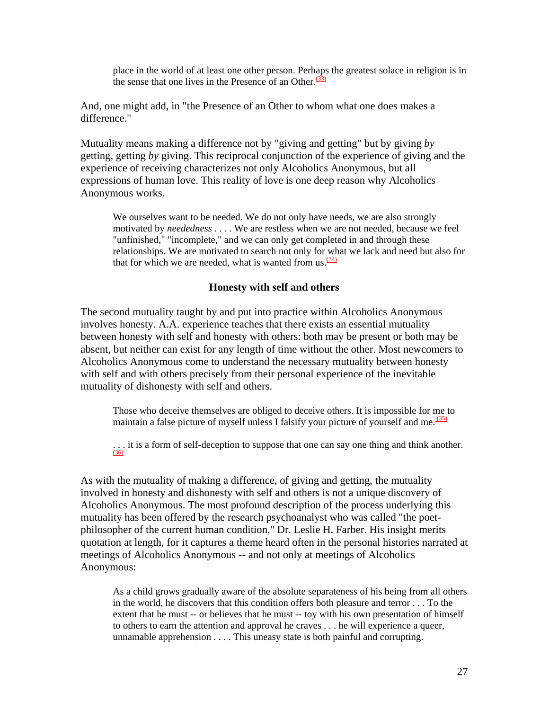place in the world of at least one other person. Perhaps the greatest solace in religion is in the sense that one lives in the Presence of an Other.<sup> $(33)$ </sup>

And, one might add, in "the Presence of an Other to whom what one does makes a difference."

Mutuality means making a difference not by "giving and getting" but by giving *by* getting, getting *by* giving. This reciprocal conjunction of the experience of giving and the experience of receiving characterizes not only Alcoholics Anonymous, but all expressions of human love. This reality of love is one deep reason why Alcoholics Anonymous works.

We ourselves want to be needed. We do not only have needs, we are also strongly motivated by *neededness* . . . . We are restless when we are not needed, because we feel "unfinished," "incomplete," and we can only get completed in and through these relationships. We are motivated to search not only for what we lack and need but also for that for which we are needed, what is wanted from us.  $(34)$ 

#### **Honesty with self and others**

The second mutuality taught by and put into practice within Alcoholics Anonymous involves honesty. A.A. experience teaches that there exists an essential mutuality between honesty with self and honesty with others: both may be present or both may be absent, but neither can exist for any length of time without the other. Most newcomers to Alcoholics Anonymous come to understand the necessary mutuality between honesty with self and with others precisely from their personal experience of the inevitable mutuality of dishonesty with self and others.

Those who deceive themselves are obliged to deceive others. It is impossible for me to maintain a false picture of myself unless I falsify your picture of yourself and me.  $\frac{(35)}{20}$ 

 $\dots$  it is a form of self-deception to suppose that one can say one thing and think another.

As with the mutuality of making a difference, of giving and getting, the mutuality involved in honesty and dishonesty with self and others is not a unique discovery of Alcoholics Anonymous. The most profound description of the process underlying this mutuality has been offered by the research psychoanalyst who was called "the poetphilosopher of the current human condition," Dr. Leslie H. Farber. His insight merits quotation at length, for it captures a theme heard often in the personal histories narrated at meetings of Alcoholics Anonymous -- and not only at meetings of Alcoholics Anonymous:

As a child grows gradually aware of the absolute separateness of his being from all others in the world, he discovers that this condition offers both pleasure and terror . . . To the extent that he must -- or believes that he must -- toy with his own presentation of himself to others to earn the attention and approval he craves . . . he will experience a queer, unnamable apprehension . . . . This uneasy state is both painful and corrupting.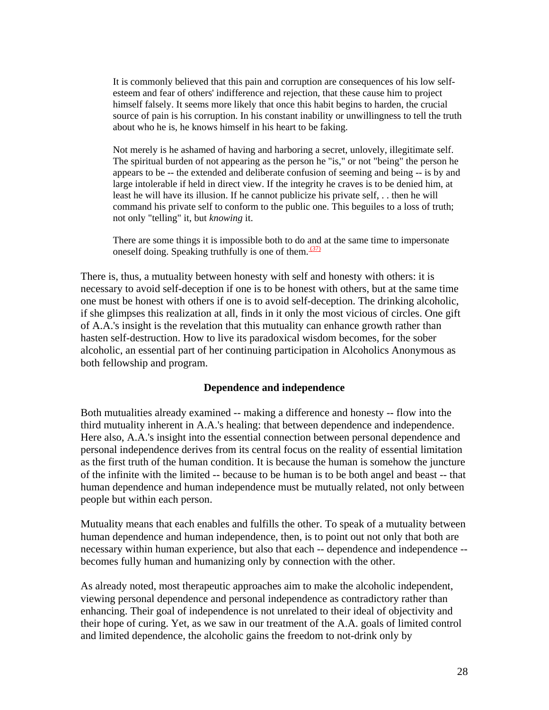It is commonly believed that this pain and corruption are consequences of his low selfesteem and fear of others' indifference and rejection, that these cause him to project himself falsely. It seems more likely that once this habit begins to harden, the crucial source of pain is his corruption. In his constant inability or unwillingness to tell the truth about who he is, he knows himself in his heart to be faking.

Not merely is he ashamed of having and harboring a secret, unlovely, illegitimate self. The spiritual burden of not appearing as the person he "is," or not "being" the person he appears to be -- the extended and deliberate confusion of seeming and being -- is by and large intolerable if held in direct view. If the integrity he craves is to be denied him, at least he will have its illusion. If he cannot publicize his private self, . . then he will command his private self to conform to the public one. This beguiles to a loss of truth; not only "telling" it, but *knowing* it.

There are some things it is impossible both to do and at the same time to impersonate oneself doing. Speaking truthfully is one of them.  $(37)$ 

There is, thus, a mutuality between honesty with self and honesty with others: it is necessary to avoid self-deception if one is to be honest with others, but at the same time one must be honest with others if one is to avoid self-deception. The drinking alcoholic, if she glimpses this realization at all, finds in it only the most vicious of circles. One gift of A.A.'s insight is the revelation that this mutuality can enhance growth rather than hasten self-destruction. How to live its paradoxical wisdom becomes, for the sober alcoholic, an essential part of her continuing participation in Alcoholics Anonymous as both fellowship and program.

#### **Dependence and independence**

Both mutualities already examined -- making a difference and honesty -- flow into the third mutuality inherent in A.A.'s healing: that between dependence and independence. Here also, A.A.'s insight into the essential connection between personal dependence and personal independence derives from its central focus on the reality of essential limitation as the first truth of the human condition. It is because the human is somehow the juncture of the infinite with the limited -- because to be human is to be both angel and beast -- that human dependence and human independence must be mutually related, not only between people but within each person.

Mutuality means that each enables and fulfills the other. To speak of a mutuality between human dependence and human independence, then, is to point out not only that both are necessary within human experience, but also that each -- dependence and independence - becomes fully human and humanizing only by connection with the other.

As already noted, most therapeutic approaches aim to make the alcoholic independent, viewing personal dependence and personal independence as contradictory rather than enhancing. Their goal of independence is not unrelated to their ideal of objectivity and their hope of curing. Yet, as we saw in our treatment of the A.A. goals of limited control and limited dependence, the alcoholic gains the freedom to not-drink only by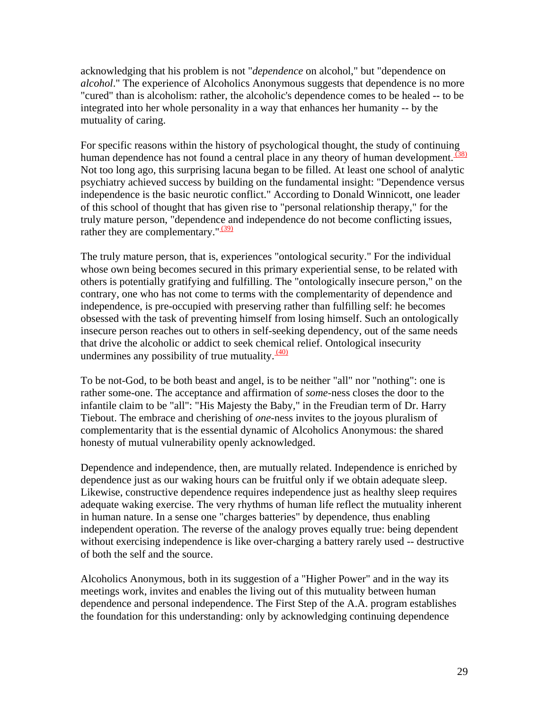acknowledging that his problem is not "*dependence* on alcohol," but "dependence on *alcohol*." The experience of Alcoholics Anonymous suggests that dependence is no more "cured" than is alcoholism: rather, the alcoholic's dependence comes to be healed -- to be integrated into her whole personality in a way that enhances her humanity -- by the mutuality of caring.

For specific reasons within the history of psychological thought, the study of continuing human dependence has not found a central place in any theory of human development. Not too long ago, this surprising lacuna began to be filled. At least one school of analytic psychiatry achieved success by building on the fundamental insight: "Dependence versus independence is the basic neurotic conflict." According to Donald Winnicott, one leader of this school of thought that has given rise to "personal relationship therapy," for the truly mature person, "dependence and independence do not become conflicting issues, rather they are complementary." $\frac{(39)}{29}$ 

The truly mature person, that is, experiences "ontological security." For the individual whose own being becomes secured in this primary experiential sense, to be related with others is potentially gratifying and fulfilling. The "ontologically insecure person," on the contrary, one who has not come to terms with the complementarity of dependence and independence, is pre-occupied with preserving rather than fulfilling self: he becomes obsessed with the task of preventing himself from losing himself. Such an ontologically insecure person reaches out to others in self-seeking dependency, out of the same needs that drive the alcoholic or addict to seek chemical relief. Ontological insecurity undermines any possibility of true mutuality.  $(40)$ 

To be not-God, to be both beast and angel, is to be neither "all" nor "nothing": one is rather some-one. The acceptance and affirmation of *some*-ness closes the door to the infantile claim to be "all": "His Majesty the Baby," in the Freudian term of Dr. Harry Tiebout. The embrace and cherishing of *one*-ness invites to the joyous pluralism of complementarity that is the essential dynamic of Alcoholics Anonymous: the shared honesty of mutual vulnerability openly acknowledged.

Dependence and independence, then, are mutually related. Independence is enriched by dependence just as our waking hours can be fruitful only if we obtain adequate sleep. Likewise, constructive dependence requires independence just as healthy sleep requires adequate waking exercise. The very rhythms of human life reflect the mutuality inherent in human nature. In a sense one "charges batteries" by dependence, thus enabling independent operation. The reverse of the analogy proves equally true: being dependent without exercising independence is like over-charging a battery rarely used -- destructive of both the self and the source.

Alcoholics Anonymous, both in its suggestion of a "Higher Power" and in the way its meetings work, invites and enables the living out of this mutuality between human dependence and personal independence. The First Step of the A.A. program establishes the foundation for this understanding: only by acknowledging continuing dependence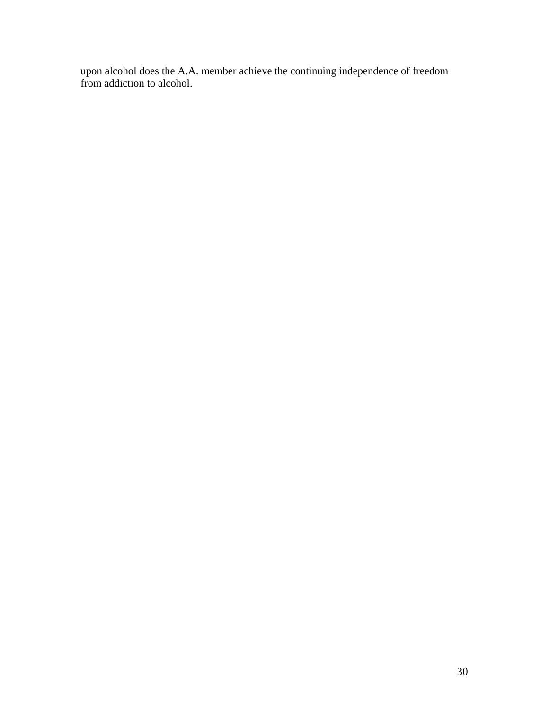upon alcohol does the A.A. member achieve the continuing independence of freedom from addiction to alcohol.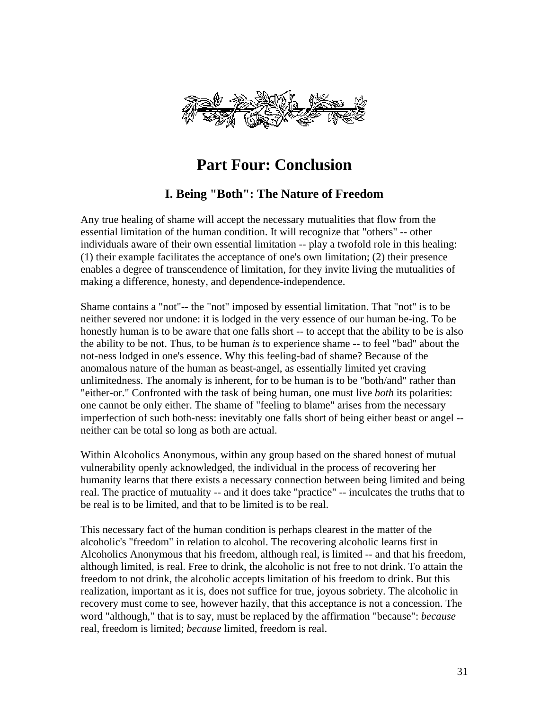

# **Part Four: Conclusion**

# **I. Being "Both": The Nature of Freedom**

Any true healing of shame will accept the necessary mutualities that flow from the essential limitation of the human condition. It will recognize that "others" -- other individuals aware of their own essential limitation -- play a twofold role in this healing: (1) their example facilitates the acceptance of one's own limitation; (2) their presence enables a degree of transcendence of limitation, for they invite living the mutualities of making a difference, honesty, and dependence-independence.

Shame contains a "not"-- the "not" imposed by essential limitation. That "not" is to be neither severed nor undone: it is lodged in the very essence of our human be-ing. To be honestly human is to be aware that one falls short -- to accept that the ability to be is also the ability to be not. Thus, to be human *is* to experience shame -- to feel "bad" about the not-ness lodged in one's essence. Why this feeling-bad of shame? Because of the anomalous nature of the human as beast-angel, as essentially limited yet craving unlimitedness. The anomaly is inherent, for to be human is to be "both/and" rather than "either-or." Confronted with the task of being human, one must live *both* its polarities: one cannot be only either. The shame of "feeling to blame" arises from the necessary imperfection of such both-ness: inevitably one falls short of being either beast or angel - neither can be total so long as both are actual.

Within Alcoholics Anonymous, within any group based on the shared honest of mutual vulnerability openly acknowledged, the individual in the process of recovering her humanity learns that there exists a necessary connection between being limited and being real. The practice of mutuality -- and it does take "practice" -- inculcates the truths that to be real is to be limited, and that to be limited is to be real.

This necessary fact of the human condition is perhaps clearest in the matter of the alcoholic's "freedom" in relation to alcohol. The recovering alcoholic learns first in Alcoholics Anonymous that his freedom, although real, is limited -- and that his freedom, although limited, is real. Free to drink, the alcoholic is not free to not drink. To attain the freedom to not drink, the alcoholic accepts limitation of his freedom to drink. But this realization, important as it is, does not suffice for true, joyous sobriety. The alcoholic in recovery must come to see, however hazily, that this acceptance is not a concession. The word "although," that is to say, must be replaced by the affirmation "because": *because*  real, freedom is limited; *because* limited, freedom is real.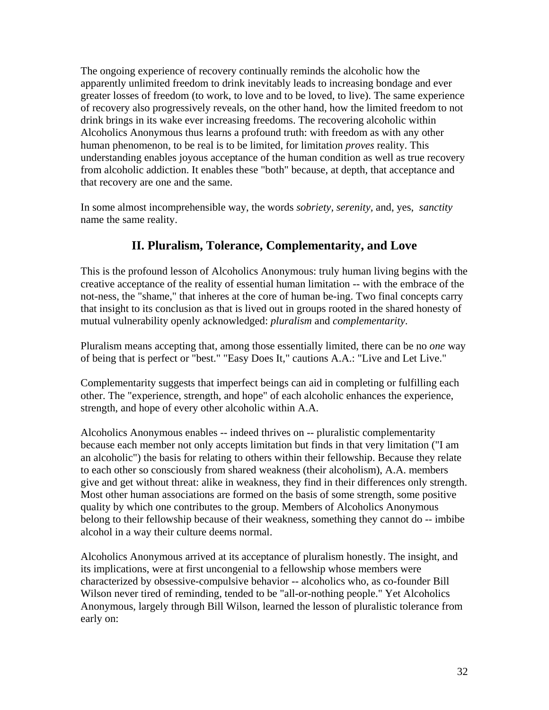The ongoing experience of recovery continually reminds the alcoholic how the apparently unlimited freedom to drink inevitably leads to increasing bondage and ever greater losses of freedom (to work, to love and to be loved, to live). The same experience of recovery also progressively reveals, on the other hand, how the limited freedom to not drink brings in its wake ever increasing freedoms. The recovering alcoholic within Alcoholics Anonymous thus learns a profound truth: with freedom as with any other human phenomenon, to be real is to be limited, for limitation *proves* reality. This understanding enables joyous acceptance of the human condition as well as true recovery from alcoholic addiction. It enables these "both" because, at depth, that acceptance and that recovery are one and the same.

In some almost incomprehensible way, the words *sobriety, serenity,* and, yes, *sanctity* name the same reality.

# **II. Pluralism, Tolerance, Complementarity, and Love**

This is the profound lesson of Alcoholics Anonymous: truly human living begins with the creative acceptance of the reality of essential human limitation -- with the embrace of the not-ness, the "shame," that inheres at the core of human be-ing. Two final concepts carry that insight to its conclusion as that is lived out in groups rooted in the shared honesty of mutual vulnerability openly acknowledged: *pluralism* and *complementarity*.

Pluralism means accepting that, among those essentially limited, there can be no *one* way of being that is perfect or "best." "Easy Does It," cautions A.A.: "Live and Let Live."

Complementarity suggests that imperfect beings can aid in completing or fulfilling each other. The "experience, strength, and hope" of each alcoholic enhances the experience, strength, and hope of every other alcoholic within A.A.

Alcoholics Anonymous enables -- indeed thrives on -- pluralistic complementarity because each member not only accepts limitation but finds in that very limitation ("I am an alcoholic") the basis for relating to others within their fellowship. Because they relate to each other so consciously from shared weakness (their alcoholism), A.A. members give and get without threat: alike in weakness, they find in their differences only strength. Most other human associations are formed on the basis of some strength, some positive quality by which one contributes to the group. Members of Alcoholics Anonymous belong to their fellowship because of their weakness, something they cannot do -- imbibe alcohol in a way their culture deems normal.

Alcoholics Anonymous arrived at its acceptance of pluralism honestly. The insight, and its implications, were at first uncongenial to a fellowship whose members were characterized by obsessive-compulsive behavior -- alcoholics who, as co-founder Bill Wilson never tired of reminding, tended to be "all-or-nothing people." Yet Alcoholics Anonymous, largely through Bill Wilson, learned the lesson of pluralistic tolerance from early on: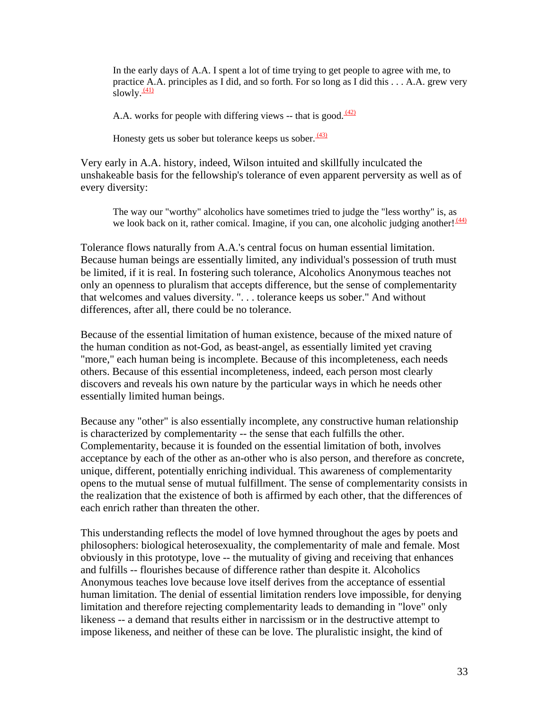In the early days of A.A. I spent a lot of time trying to get people to agree with me, to practice A.A. principles as I did, and so forth. For so long as I did this . . . A.A. grew very slowly. $\frac{(41)}{2}$ 

A.A. works for people with differing views -- that is good.  $\frac{(42)}{2}$ 

Honesty gets us sober but tolerance keeps us sober.  $\frac{(43)}{2}$ 

Very early in A.A. history, indeed, Wilson intuited and skillfully inculcated the unshakeable basis for the fellowship's tolerance of even apparent perversity as well as of every diversity:

The way our "worthy" alcoholics have sometimes tried to judge the "less worthy" is, as we look back on it, rather comical. Imagine, if you can, one alcoholic judging another!<sup>(44)</sup>

Tolerance flows naturally from A.A.'s central focus on human essential limitation. Because human beings are essentially limited, any individual's possession of truth must be limited, if it is real. In fostering such tolerance, Alcoholics Anonymous teaches not only an openness to pluralism that accepts difference, but the sense of complementarity that welcomes and values diversity. ". . . tolerance keeps us sober." And without differences, after all, there could be no tolerance.

Because of the essential limitation of human existence, because of the mixed nature of the human condition as not-God, as beast-angel, as essentially limited yet craving "more," each human being is incomplete. Because of this incompleteness, each needs others. Because of this essential incompleteness, indeed, each person most clearly discovers and reveals his own nature by the particular ways in which he needs other essentially limited human beings.

Because any "other" is also essentially incomplete, any constructive human relationship is characterized by complementarity -- the sense that each fulfills the other. Complementarity, because it is founded on the essential limitation of both, involves acceptance by each of the other as an-other who is also person, and therefore as concrete, unique, different, potentially enriching individual. This awareness of complementarity opens to the mutual sense of mutual fulfillment. The sense of complementarity consists in the realization that the existence of both is affirmed by each other, that the differences of each enrich rather than threaten the other.

This understanding reflects the model of love hymned throughout the ages by poets and philosophers: biological heterosexuality, the complementarity of male and female. Most obviously in this prototype, love -- the mutuality of giving and receiving that enhances and fulfills -- flourishes because of difference rather than despite it. Alcoholics Anonymous teaches love because love itself derives from the acceptance of essential human limitation. The denial of essential limitation renders love impossible, for denying limitation and therefore rejecting complementarity leads to demanding in "love" only likeness -- a demand that results either in narcissism or in the destructive attempt to impose likeness, and neither of these can be love. The pluralistic insight, the kind of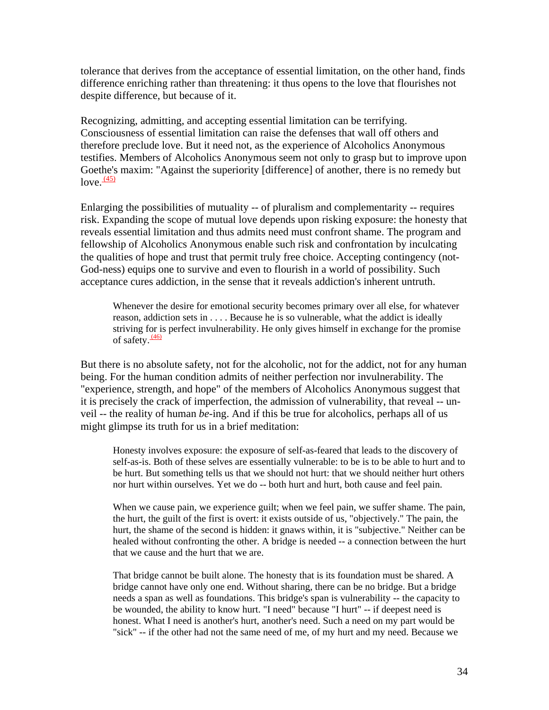tolerance that derives from the acceptance of essential limitation, on the other hand, finds difference enriching rather than threatening: it thus opens to the love that flourishes not despite difference, but because of it.

Recognizing, admitting, and accepting essential limitation can be terrifying. Consciousness of essential limitation can raise the defenses that wall off others and therefore preclude love. But it need not, as the experience of Alcoholics Anonymous testifies. Members of Alcoholics Anonymous seem not only to grasp but to improve upon Goethe'[s](http://hindsfoot.org/eksg.html#N_45_#N_45_) maxim: "Against the superiority [difference] of another, there is no remedy but love.  $\frac{(45)}{2}$ 

Enlarging the possibilities of mutuality -- of pluralism and complementarity -- requires risk. Expanding the scope of mutual love depends upon risking exposure: the honesty that reveals essential limitation and thus admits need must confront shame. The program and fellowship of Alcoholics Anonymous enable such risk and confrontation by inculcating the qualities of hope and trust that permit truly free choice. Accepting contingency (not-God-ness) equips one to survive and even to flourish in a world of possibility. Such acceptance cures addiction, in the sense that it reveals addiction's inherent untruth.

Whenever the desire for emotional security becomes primary over all else, for whatever reason, addiction sets in . . . . Because he is so vulnerable, what the addict is ideally striving for is perfect invulnerability. He only gives himself in exchange for the promise of safety. $\frac{(46)}{6}$ 

But there is no absolute safety, not for the alcoholic, not for the addict, not for any human being. For the human condition admits of neither perfection nor invulnerability. The "experience, strength, and hope" of the members of Alcoholics Anonymous suggest that it is precisely the crack of imperfection, the admission of vulnerability, that reveal -- unveil -- the reality of human *be*-ing. And if this be true for alcoholics, perhaps all of us might glimpse its truth for us in a brief meditation:

Honesty involves exposure: the exposure of self-as-feared that leads to the discovery of self-as-is. Both of these selves are essentially vulnerable: to be is to be able to hurt and to be hurt. But something tells us that we should not hurt: that we should neither hurt others nor hurt within ourselves. Yet we do -- both hurt and hurt, both cause and feel pain.

When we cause pain, we experience guilt; when we feel pain, we suffer shame. The pain, the hurt, the guilt of the first is overt: it exists outside of us, "objectively." The pain, the hurt, the shame of the second is hidden: it gnaws within, it is "subjective." Neither can be healed without confronting the other. A bridge is needed -- a connection between the hurt that we cause and the hurt that we are.

That bridge cannot be built alone. The honesty that is its foundation must be shared. A bridge cannot have only one end. Without sharing, there can be no bridge. But a bridge needs a span as well as foundations. This bridge's span is vulnerability -- the capacity to be wounded, the ability to know hurt. "I need" because "I hurt" -- if deepest need is honest. What I need is another's hurt, another's need. Such a need on my part would be "sick" -- if the other had not the same need of me, of my hurt and my need. Because we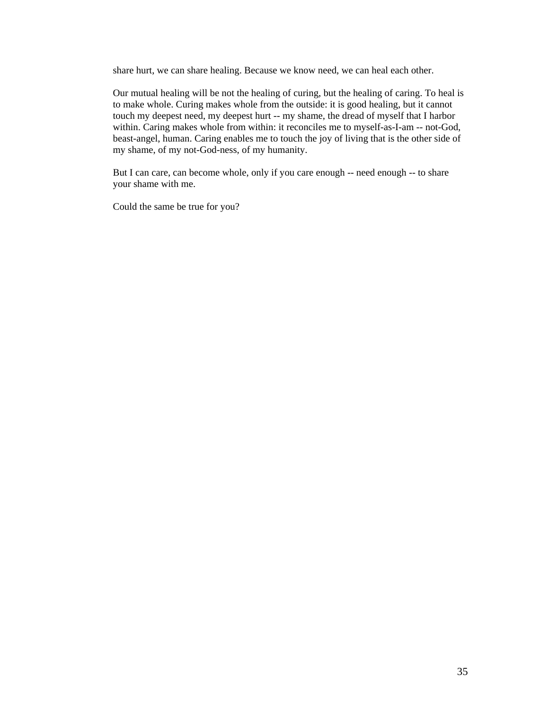share hurt, we can share healing. Because we know need, we can heal each other.

Our mutual healing will be not the healing of curing, but the healing of caring. To heal is to make whole. Curing makes whole from the outside: it is good healing, but it cannot touch my deepest need, my deepest hurt -- my shame, the dread of myself that I harbor within. Caring makes whole from within: it reconciles me to myself-as-I-am -- not-God, beast-angel, human. Caring enables me to touch the joy of living that is the other side of my shame, of my not-God-ness, of my humanity.

But I can care, can become whole, only if you care enough -- need enough -- to share your shame with me.

Could the same be true for you?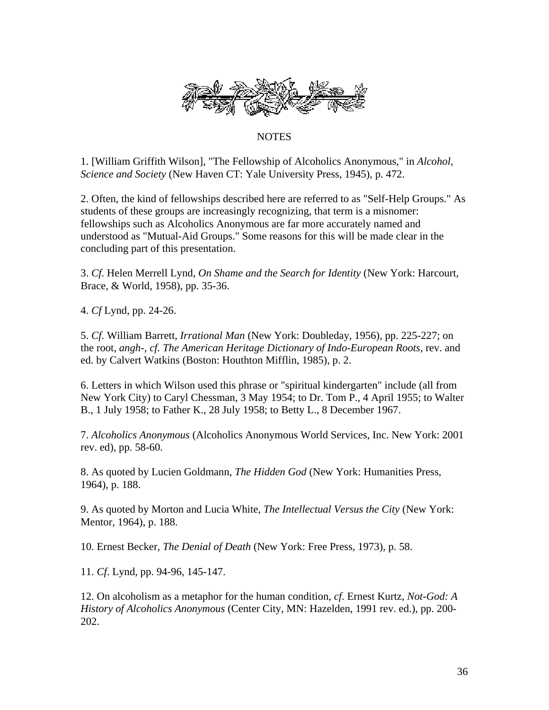

#### **NOTES**

1. [William Griffith Wilson], "The Fellowship of Alcoholics Anonymous," in *Alcohol, Science and Society* (New Haven CT: Yale University Press, 1945), p. 472.

2. Often, the kind of fellowships described here are referred to as "Self-Help Groups." As students of these groups are increasingly recognizing, that term is a misnomer: fellowships such as Alcoholics Anonymous are far more accurately named and understood as "Mutual-Aid Groups." Some reasons for this will be made clear in the concluding part of this presentation.

3. *Cf*. Helen Merrell Lynd, *On Shame and the Search for Identity* (New York: Harcourt, Brace, & World, 1958), pp. 35-36.

4. *Cf* Lynd, pp. 24-26.

5. *Cf*. William Barrett, *Irrational Man* (New York: Doubleday, 1956), pp. 225-227; on the root, *angh*-, *cf. The American Heritage Dictionary of Indo-European Roots*, rev. and ed. by Calvert Watkins (Boston: Houthton Mifflin, 1985), p. 2.

6. Letters in which Wilson used this phrase or "spiritual kindergarten" include (all from New York City) to Caryl Chessman, 3 May 1954; to Dr. Tom P., 4 April 1955; to Walter B., 1 July 1958; to Father K., 28 July 1958; to Betty L., 8 December 1967.

7. *Alcoholics Anonymous* (Alcoholics Anonymous World Services, Inc. New York: 2001 rev. ed), pp. 58-60.

8. As quoted by Lucien Goldmann, *The Hidden God* (New York: Humanities Press, 1964), p. 188.

9. As quoted by Morton and Lucia White, *The Intellectual Versus the City* (New York: Mentor, 1964), p. 188.

10. Ernest Becker, *The Denial of Death* (New York: Free Press, 1973), p. 58.

11. *Cf*. Lynd, pp. 94-96, 145-147.

12. On alcoholism as a metaphor for the human condition, *cf*. Ernest Kurtz, *Not-God: A History of Alcoholics Anonymous* (Center City, MN: Hazelden, 1991 rev. ed.), pp. 200- 202.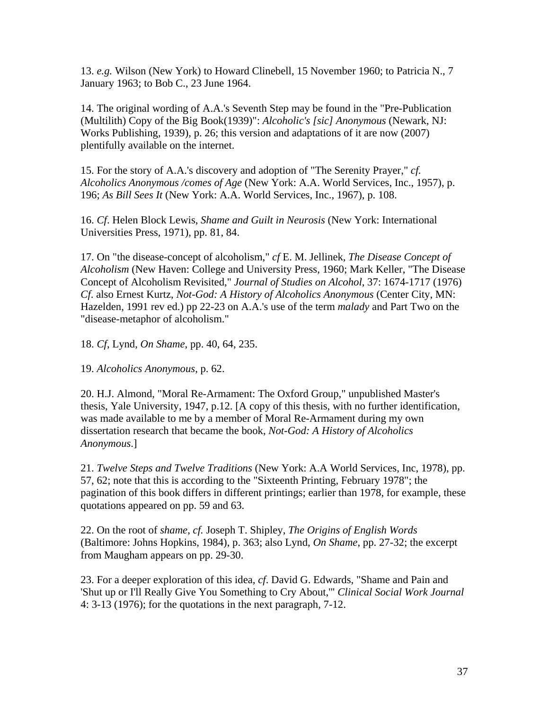13. *e.g.* Wilson (New York) to Howard Clinebell, 15 November 1960; to Patricia N., 7 January 1963; to Bob C., 23 June 1964.

14. The original wording of A.A.'s Seventh Step may be found in the "Pre-Publication (Multilith) Copy of the Big Book(1939)": *Alcoholic's [sic] Anonymous* (Newark, NJ: Works Publishing, 1939), p. 26; this version and adaptations of it are now (2007) plentifully available on the internet.

15. For the story of A.A.'s discovery and adoption of "The Serenity Prayer," *cf. Alcoholics Anonymous /comes of Age* (New York: A.A. World Services, Inc., 1957), p. 196; *As Bill Sees It* (New York: A.A. World Services, Inc., 1967), p. 108.

16. *Cf*. Helen Block Lewis, *Shame and Guilt in Neurosis* (New York: International Universities Press, 1971), pp. 81, 84.

17. On "the disease-concept of alcoholism," *cf* E. M. Jellinek, *The Disease Concept of Alcoholism* (New Haven: College and University Press, 1960; Mark Keller, "The Disease Concept of Alcoholism Revisited," *Journal of Studies on Alcohol*, 37: 1674-1717 (1976) *Cf*. also Ernest Kurtz, *Not-God: A History of Alcoholics Anonymous* (Center City, MN: Hazelden, 1991 rev ed.) pp 22-23 on A.A.'s use of the term *malady* and Part Two on the "disease-metaphor of alcoholism."

18. *Cf*, Lynd, *On Shame*, pp. 40, 64, 235.

19. *Alcoholics Anonymous*, p. 62.

20. H.J. Almond, "Moral Re-Armament: The Oxford Group," unpublished Master's thesis, Yale University, 1947, p.12. [A copy of this thesis, with no further identification, was made available to me by a member of Moral Re-Armament during my own dissertation research that became the book, *Not-God: A History of Alcoholics Anonymous*.]

21. *Twelve Steps and Twelve Traditions* (New York: A.A World Services, Inc, 1978), pp. 57, 62; note that this is according to the "Sixteenth Printing, February 1978"; the pagination of this book differs in different printings; earlier than 1978, for example, these quotations appeared on pp. 59 and 63.

22. On the root of *shame*, *cf.* Joseph T. Shipley, *The Origins of English Words* (Baltimore: Johns Hopkins, 1984), p. 363; also Lynd, *On Shame*, pp. 27-32; the excerpt from Maugham appears on pp. 29-30.

23. For a deeper exploration of this idea, *cf*. David G. Edwards, "Shame and Pain and 'Shut up or I'll Really Give You Something to Cry About,'" *Clinical Social Work Journal* 4: 3-13 (1976); for the quotations in the next paragraph, 7-12.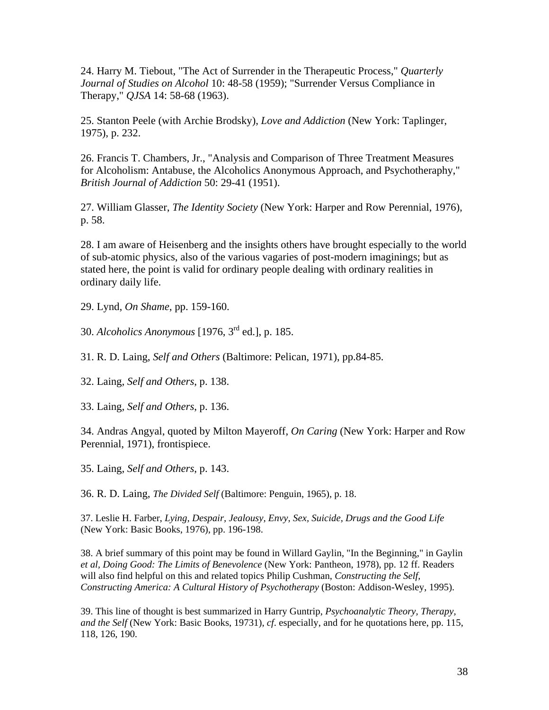24. Harry M. Tiebout, "The Act of Surrender in the Therapeutic Process," *Quarterly Journal of Studies on Alcohol* 10: 48-58 (1959); "Surrender Versus Compliance in Therapy," *QJSA* 14: 58-68 (1963).

25. Stanton Peele (with Archie Brodsky), *Love and Addiction* (New York: Taplinger, 1975), p. 232.

26. Francis T. Chambers, Jr., "Analysis and Comparison of Three Treatment Measures for Alcoholism: Antabuse, the Alcoholics Anonymous Approach, and Psychotheraphy," *British Journal of Addiction* 50: 29-41 (1951).

27. William Glasser, *The Identity Society* (New York: Harper and Row Perennial, 1976), p. 58.

28. I am aware of Heisenberg and the insights others have brought especially to the world of sub-atomic physics, also of the various vagaries of post-modern imaginings; but as stated here, the point is valid for ordinary people dealing with ordinary realities in ordinary daily life.

29. Lynd, *On Shame*, pp. 159-160.

30. *Alcoholics Anonymous* [1976, 3rd ed.], p. 185.

31. R. D. Laing, *Self and Others* (Baltimore: Pelican, 1971), pp.84-85.

32. Laing, *Self and Others*, p. 138.

33. Laing, *Self and Others*, p. 136.

34. Andras Angyal, quoted by Milton Mayeroff, *On Caring* (New York: Harper and Row Perennial, 1971), frontispiece.

35. Laing, *Self and Others*, p. 143.

36. R. D. Laing, *The Divided Self* (Baltimore: Penguin, 1965), p. 18.

37. Leslie H. Farber, *Lying, Despair, Jealousy, Envy, Sex, Suicide, Drugs and the Good Life* (New York: Basic Books, 1976), pp. 196-198.

38. A brief summary of this point may be found in Willard Gaylin, "In the Beginning," in Gaylin *et al, Doing Good: The Limits of Benevolence* (New York: Pantheon, 1978), pp. 12 ff. Readers will also find helpful on this and related topics Philip Cushman, *Constructing the Self, Constructing America: A Cultural History of Psychotherapy* (Boston: Addison-Wesley, 1995).

39. This line of thought is best summarized in Harry Guntrip, *Psychoanalytic Theory, Therapy, and the Self* (New York: Basic Books, 19731), *cf*. especially, and for he quotations here, pp. 115, 118, 126, 190.